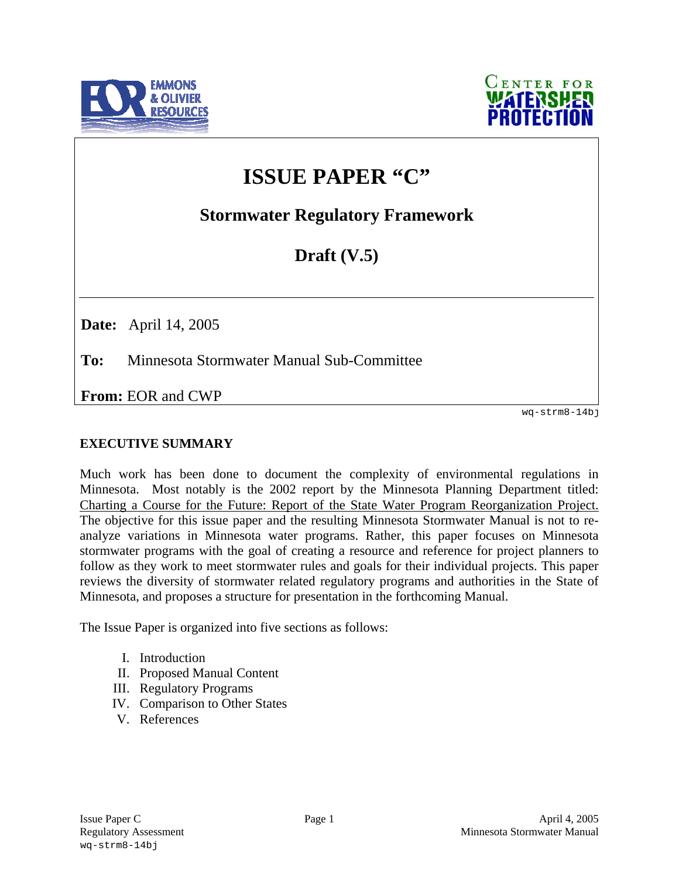



# **ISSUE PAPER "C"**

**Stormwater Regulatory Framework** 

# **Draft (V.5)**

**Date:** April 14, 2005

**To:** Minnesota Stormwater Manual Sub-Committee

**From:** EOR and CWP

# **EXECUTIVE SUMMARY**

Much work has been done to document the complexity of environmental regulations in Minnesota. Most notably is the 2002 report by the Minnesota Planning Department titled: Charting a Course for the Future: Report of the State Water Program Reorganization Project. The objective for this issue paper and the resulting Minnesota Stormwater Manual is not to reanalyze variations in Minnesota water programs. Rather, this paper focuses on Minnesota stormwater programs with the goal of creating a resource and reference for project planners to follow as they work to meet stormwater rules and goals for their individual projects. This paper reviews the diversity of stormwater related regulatory programs and authorities in the State of Minnesota, and proposes a structure for presentation in the forthcoming Manual. **EXECUTIVE SUMMARY**<br>
wer-strm8-14bj<br>
Wheth work has been done to document the complexity of environmental regulations in<br>
Minnesotia. Most notably is the 2002 report by the Minnesota Planning Department titled.<br>
The offic

The Issue Paper is organized into five sections as follows:

- I. Introduction
- II. Proposed Manual Content
- III. Regulatory Programs
- IV. Comparison to Other States
- V. References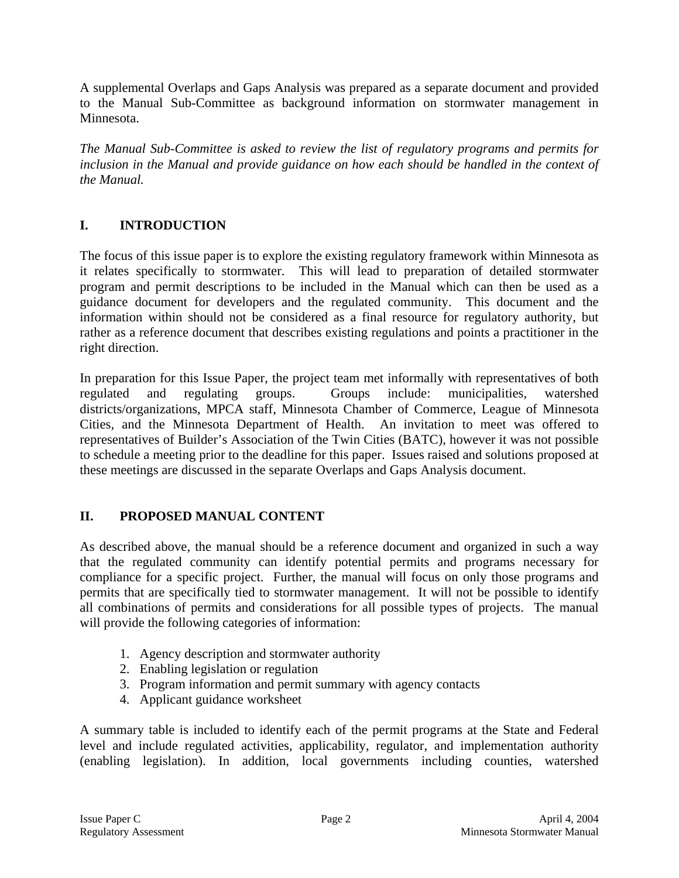A supplemental Overlaps and Gaps Analysis was prepared as a separate document and provided to the Manual Sub-Committee as background information on stormwater management in Minnesota.

*The Manual Sub-Committee is asked to review the list of regulatory programs and permits for*  inclusion in the Manual and provide guidance on how each should be handled in the context of *the Manual.* 

# **I. INTRODUCTION**

The focus of this issue paper is to explore the existing regulatory framework within Minnesota as it relates specifically to stormwater. This will lead to preparation of detailed stormwater program and permit descriptions to be included in the Manual which can then be used as a guidance document for developers and the regulated community. This document and the information within should not be considered as a final resource for regulatory authority, but rather as a reference document that describes existing regulations and points a practitioner in the right direction.

In preparation for this Issue Paper, the project team met informally with representatives of both regulated and regulating groups. Groups include: municipalities, watershed districts/organizations, MPCA staff, Minnesota Chamber of Commerce, League of Minnesota Cities, and the Minnesota Department of Health. An invitation to meet was offered to representatives of Builder's Association of the Twin Cities (BATC), however it was not possible to schedule a meeting prior to the deadline for this paper. Issues raised and solutions proposed at these meetings are discussed in the separate Overlaps and Gaps Analysis document.

# **II. PROPOSED MANUAL CONTENT**

As described above, the manual should be a reference document and organized in such a way that the regulated community can identify potential permits and programs necessary for compliance for a specific project. Further, the manual will focus on only those programs and permits that are specifically tied to stormwater management. It will not be possible to identify all combinations of permits and considerations for all possible types of projects. The manual will provide the following categories of information:

- 1. Agency description and stormwater authority
- 2. Enabling legislation or regulation
- 3. Program information and permit summary with agency contacts
- 4. Applicant guidance worksheet

A summary table is included to identify each of the permit programs at the State and Federal level and include regulated activities, applicability, regulator, and implementation authority (enabling legislation). In addition, local governments including counties, watershed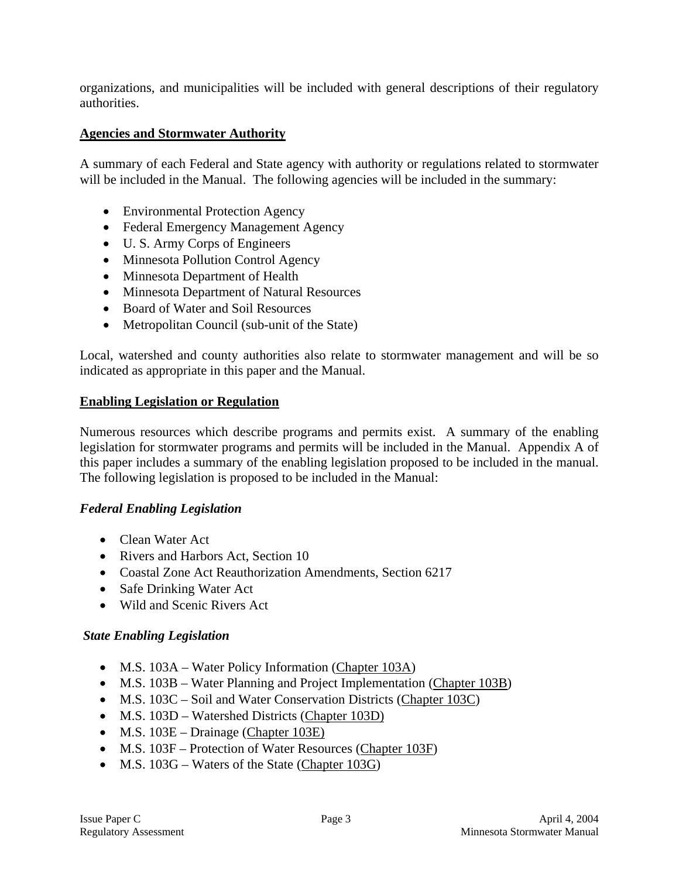organizations, and municipalities will be included with general descriptions of their regulatory authorities.

### **Agencies and Stormwater Authority**

A summary of each Federal and State agency with authority or regulations related to stormwater will be included in the Manual. The following agencies will be included in the summary:

- Environmental Protection Agency
- Federal Emergency Management Agency
- U. S. Army Corps of Engineers
- Minnesota Pollution Control Agency
- Minnesota Department of Health
- Minnesota Department of Natural Resources
- Board of Water and Soil Resources
- Metropolitan Council (sub-unit of the State)

Local, watershed and county authorities also relate to stormwater management and will be so indicated as appropriate in this paper and the Manual.

#### **Enabling Legislation or Regulation**

Numerous resources which describe programs and permits exist. A summary of the enabling legislation for stormwater programs and permits will be included in the Manual. Appendix A of this paper includes a summary of the enabling legislation proposed to be included in the manual. The following legislation is proposed to be included in the Manual:

#### *Federal Enabling Legislation*

- Clean Water Act
- Rivers and Harbors Act, Section 10
- Coastal Zone Act Reauthorization Amendments, Section 6217
- Safe Drinking Water Act
- Wild and Scenic Rivers Act

#### *State Enabling Legislation*

- M.S. 103A Water Policy Information (Chapter 103A)
- M.S. 103B Water Planning and Project Implementation (Chapter 103B)
- M.S. 103C Soil and Water Conservation Districts (Chapter 103C)
- M.S. 103D Watershed Districts (Chapter 103D)
- M.S. 103E Drainage (Chapter 103E)
- M.S. 103F Protection of Water Resources (Chapter 103F)
- M.S. 103G Waters of the State (Chapter 103G)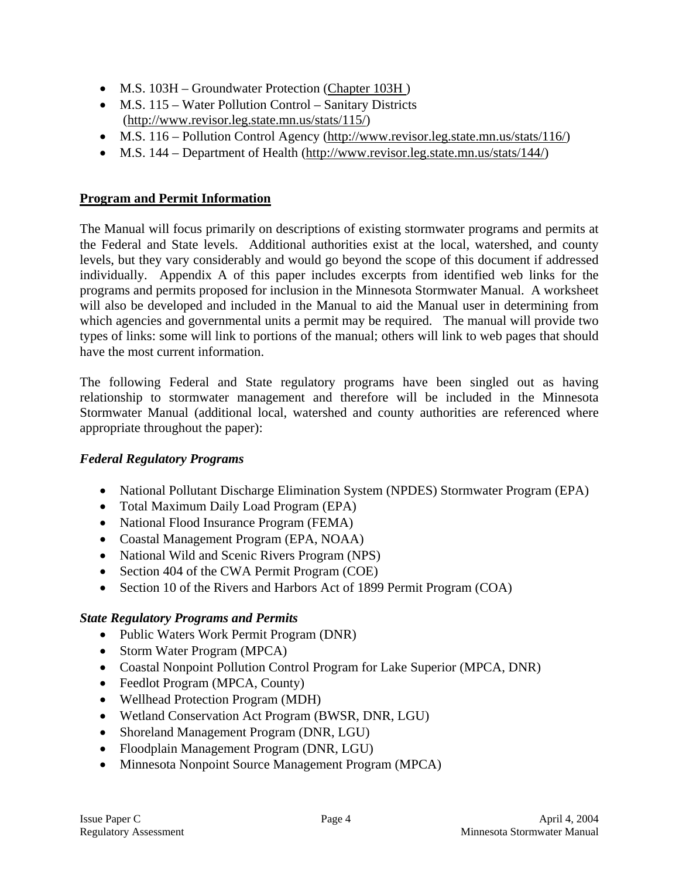- M.S. 103H Groundwater Protection (Chapter 103H)
- M.S. 115 Water Pollution Control Sanitary Districts (http://www.revisor.leg.state.mn.us/stats/115/)
- M.S. 116 Pollution Control Agency (http://www.revisor.leg.state.mn.us/stats/116/)
- M.S. 144 Department of Health (http://www.revisor.leg.state.mn.us/stats/144/)

### **Program and Permit Information**

The Manual will focus primarily on descriptions of existing stormwater programs and permits at the Federal and State levels. Additional authorities exist at the local, watershed, and county levels, but they vary considerably and would go beyond the scope of this document if addressed individually. Appendix A of this paper includes excerpts from identified web links for the programs and permits proposed for inclusion in the Minnesota Stormwater Manual. A worksheet will also be developed and included in the Manual to aid the Manual user in determining from which agencies and governmental units a permit may be required. The manual will provide two types of links: some will link to portions of the manual; others will link to web pages that should have the most current information.

The following Federal and State regulatory programs have been singled out as having relationship to stormwater management and therefore will be included in the Minnesota Stormwater Manual (additional local, watershed and county authorities are referenced where appropriate throughout the paper):

### *Federal Regulatory Programs*

- National Pollutant Discharge Elimination System (NPDES) Stormwater Program (EPA)
- Total Maximum Daily Load Program (EPA)
- National Flood Insurance Program (FEMA)
- Coastal Management Program (EPA, NOAA)
- National Wild and Scenic Rivers Program (NPS)
- Section 404 of the CWA Permit Program (COE)
- Section 10 of the Rivers and Harbors Act of 1899 Permit Program (COA)

### *State Regulatory Programs and Permits*

- Public Waters Work Permit Program (DNR)
- Storm Water Program (MPCA)
- Coastal Nonpoint Pollution Control Program for Lake Superior (MPCA, DNR)
- Feedlot Program (MPCA, County)
- Wellhead Protection Program (MDH)
- Wetland Conservation Act Program (BWSR, DNR, LGU)
- Shoreland Management Program (DNR, LGU)
- Floodplain Management Program (DNR, LGU)
- Minnesota Nonpoint Source Management Program (MPCA)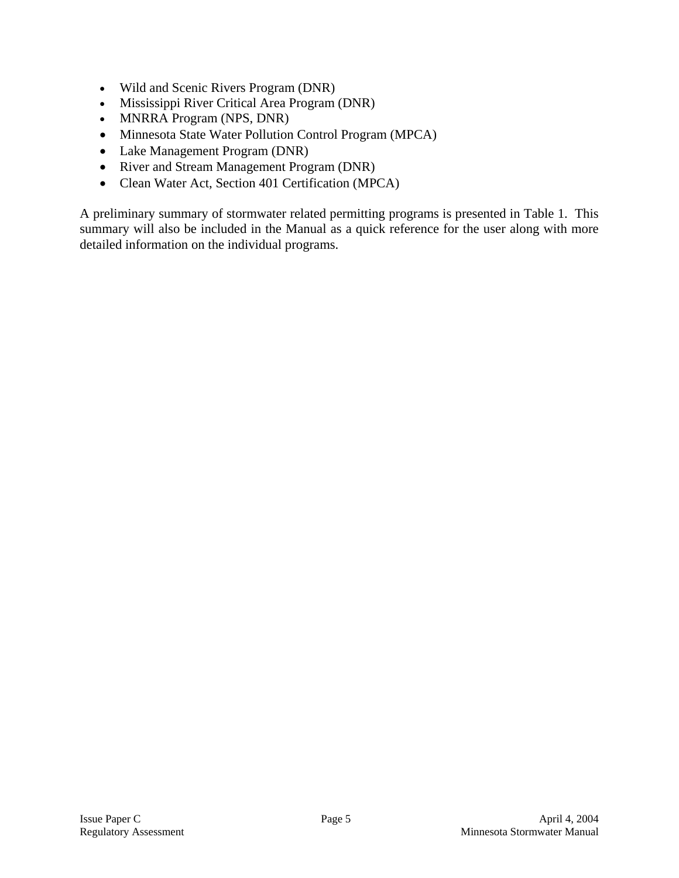- Wild and Scenic Rivers Program (DNR)
- Mississippi River Critical Area Program (DNR)
- MNRRA Program (NPS, DNR)
- Minnesota State Water Pollution Control Program (MPCA)
- Lake Management Program (DNR)
- River and Stream Management Program (DNR)
- Clean Water Act, Section 401 Certification (MPCA)

A preliminary summary of stormwater related permitting programs is presented in Table 1. This summary will also be included in the Manual as a quick reference for the user along with more detailed information on the individual programs.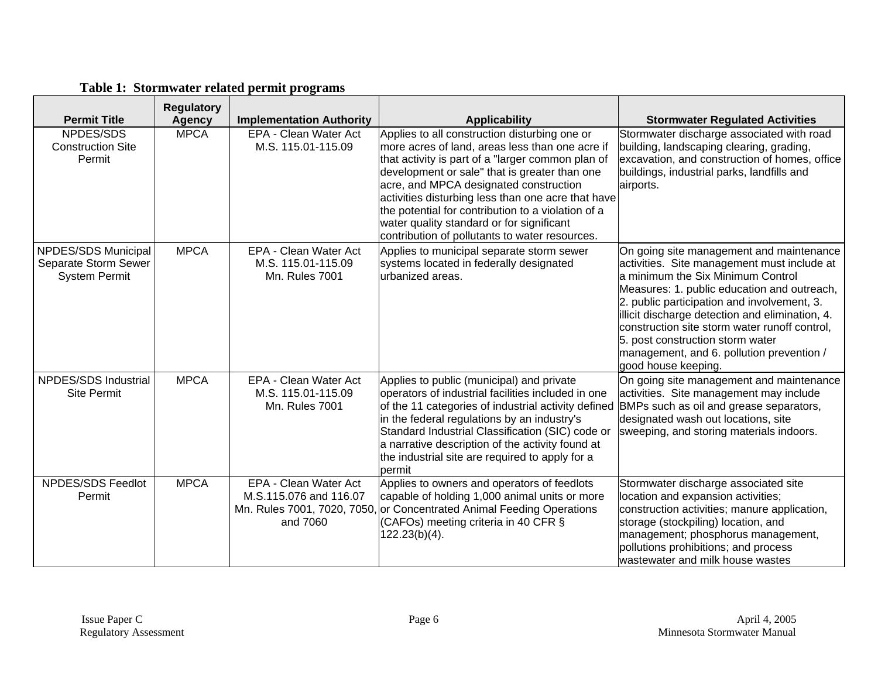| <b>Permit Title</b>                                                 | <b>Regulatory</b><br><b>Agency</b> | <b>Implementation Authority</b>                                      | <b>Applicability</b>                                                                                                                                                                                                                                                                                                                                                                                                                                        | <b>Stormwater Regulated Activities</b>                                                                                                                                                                                                                                                                                                                                                                                                 |
|---------------------------------------------------------------------|------------------------------------|----------------------------------------------------------------------|-------------------------------------------------------------------------------------------------------------------------------------------------------------------------------------------------------------------------------------------------------------------------------------------------------------------------------------------------------------------------------------------------------------------------------------------------------------|----------------------------------------------------------------------------------------------------------------------------------------------------------------------------------------------------------------------------------------------------------------------------------------------------------------------------------------------------------------------------------------------------------------------------------------|
| NPDES/SDS<br><b>Construction Site</b><br>Permit                     | <b>MPCA</b>                        | EPA - Clean Water Act<br>M.S. 115.01-115.09                          | Applies to all construction disturbing one or<br>more acres of land, areas less than one acre if<br>that activity is part of a "larger common plan of<br>development or sale" that is greater than one<br>acre, and MPCA designated construction<br>activities disturbing less than one acre that have<br>the potential for contribution to a violation of a<br>water quality standard or for significant<br>contribution of pollutants to water resources. | Stormwater discharge associated with road<br>building, landscaping clearing, grading,<br>excavation, and construction of homes, office<br>buildings, industrial parks, landfills and<br>airports.                                                                                                                                                                                                                                      |
| NPDES/SDS Municipal<br>Separate Storm Sewer<br><b>System Permit</b> | <b>MPCA</b>                        | EPA - Clean Water Act<br>M.S. 115.01-115.09<br><b>Mn. Rules 7001</b> | Applies to municipal separate storm sewer<br>systems located in federally designated<br>urbanized areas.                                                                                                                                                                                                                                                                                                                                                    | On going site management and maintenance<br>activities. Site management must include at<br>a minimum the Six Minimum Control<br>Measures: 1. public education and outreach,<br>2. public participation and involvement, 3.<br>illicit discharge detection and elimination, 4.<br>construction site storm water runoff control,<br>5. post construction storm water<br>management, and 6. pollution prevention /<br>good house keeping. |
| NPDES/SDS Industrial<br><b>Site Permit</b>                          | <b>MPCA</b>                        | EPA - Clean Water Act<br>M.S. 115.01-115.09<br><b>Mn. Rules 7001</b> | Applies to public (municipal) and private<br>operators of industrial facilities included in one<br>of the 11 categories of industrial activity defined<br>in the federal regulations by an industry's<br>Standard Industrial Classification (SIC) code or<br>a narrative description of the activity found at<br>the industrial site are required to apply for a<br>permit                                                                                  | On going site management and maintenance<br>activities. Site management may include<br>BMPs such as oil and grease separators,<br>designated wash out locations, site<br>sweeping, and storing materials indoors.                                                                                                                                                                                                                      |
| NPDES/SDS Feedlot<br>Permit                                         | <b>MPCA</b>                        | EPA - Clean Water Act<br>M.S.115.076 and 116.07<br>and 7060          | Applies to owners and operators of feedlots<br>capable of holding 1,000 animal units or more<br>Mn. Rules 7001, 7020, 7050, or Concentrated Animal Feeding Operations<br>(CAFOs) meeting criteria in 40 CFR §<br>122.23(b)(4).                                                                                                                                                                                                                              | Stormwater discharge associated site<br>location and expansion activities;<br>construction activities; manure application,<br>storage (stockpiling) location, and<br>management; phosphorus management,<br>pollutions prohibitions; and process<br>wastewater and milk house wastes                                                                                                                                                    |

# **Table 1: Stormwater related permit programs**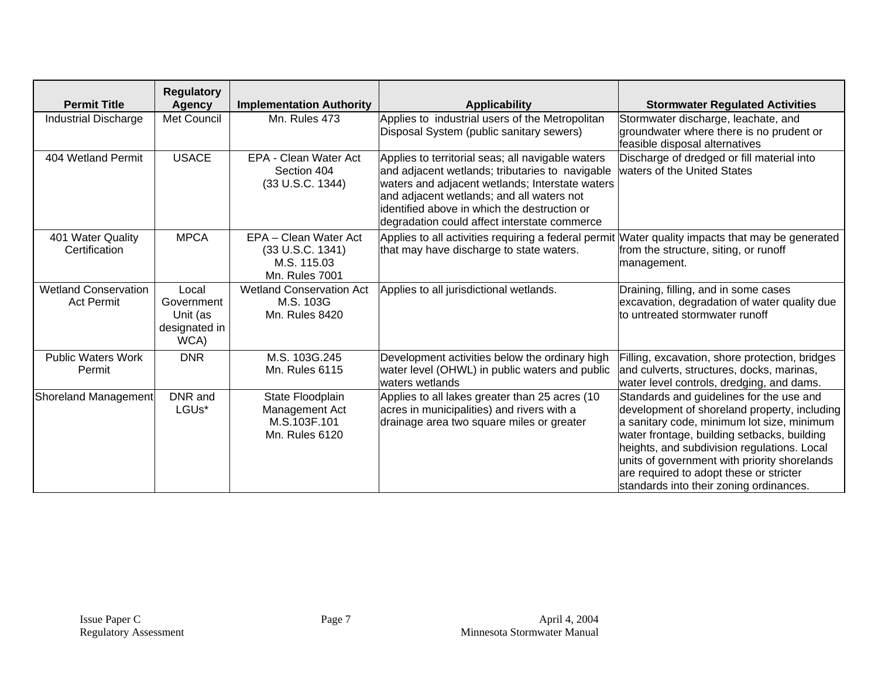| <b>Permit Title</b>                              | <b>Regulatory</b><br><b>Agency</b>                       | <b>Implementation Authority</b>                                                   | <b>Applicability</b>                                                                                                                                                                                                                                                                                 | <b>Stormwater Regulated Activities</b>                                                                                                                                                                                                                                                                                                                                     |
|--------------------------------------------------|----------------------------------------------------------|-----------------------------------------------------------------------------------|------------------------------------------------------------------------------------------------------------------------------------------------------------------------------------------------------------------------------------------------------------------------------------------------------|----------------------------------------------------------------------------------------------------------------------------------------------------------------------------------------------------------------------------------------------------------------------------------------------------------------------------------------------------------------------------|
| <b>Industrial Discharge</b>                      | Met Council                                              | Mn. Rules 473                                                                     | Applies to industrial users of the Metropolitan<br>Disposal System (public sanitary sewers)                                                                                                                                                                                                          | Stormwater discharge, leachate, and<br>groundwater where there is no prudent or<br>feasible disposal alternatives                                                                                                                                                                                                                                                          |
| 404 Wetland Permit                               | <b>USACE</b>                                             | EPA - Clean Water Act<br>Section 404<br>(33 U.S.C. 1344)                          | Applies to territorial seas; all navigable waters<br>and adjacent wetlands; tributaries to navigable<br>waters and adjacent wetlands; Interstate waters<br>and adjacent wetlands; and all waters not<br>identified above in which the destruction or<br>degradation could affect interstate commerce | Discharge of dredged or fill material into<br>waters of the United States                                                                                                                                                                                                                                                                                                  |
| 401 Water Quality<br>Certification               | <b>MPCA</b>                                              | EPA - Clean Water Act<br>(33 U.S.C. 1341)<br>M.S. 115.03<br><b>Mn. Rules 7001</b> | Applies to all activities requiring a federal permit Water quality impacts that may be generated<br>that may have discharge to state waters.                                                                                                                                                         | from the structure, siting, or runoff<br>management.                                                                                                                                                                                                                                                                                                                       |
| <b>Wetland Conservation</b><br><b>Act Permit</b> | Local<br>Government<br>Unit (as<br>designated in<br>WCA) | <b>Wetland Conservation Act</b><br>M.S. 103G<br>Mn. Rules 8420                    | Applies to all jurisdictional wetlands.                                                                                                                                                                                                                                                              | Draining, filling, and in some cases<br>excavation, degradation of water quality due<br>to untreated stormwater runoff                                                                                                                                                                                                                                                     |
| <b>Public Waters Work</b><br>Permit              | <b>DNR</b>                                               | M.S. 103G.245<br><b>Mn. Rules 6115</b>                                            | Development activities below the ordinary high<br>water level (OHWL) in public waters and public<br>waters wetlands                                                                                                                                                                                  | Filling, excavation, shore protection, bridges<br>and culverts, structures, docks, marinas,<br>water level controls, dredging, and dams.                                                                                                                                                                                                                                   |
| <b>Shoreland Management</b>                      | DNR and<br>LGUs*                                         | State Floodplain<br>Management Act<br>M.S.103F.101<br><b>Mn. Rules 6120</b>       | Applies to all lakes greater than 25 acres (10<br>acres in municipalities) and rivers with a<br>drainage area two square miles or greater                                                                                                                                                            | Standards and guidelines for the use and<br>development of shoreland property, including<br>a sanitary code, minimum lot size, minimum<br>water frontage, building setbacks, building<br>heights, and subdivision regulations. Local<br>units of government with priority shorelands<br>are required to adopt these or stricter<br>standards into their zoning ordinances. |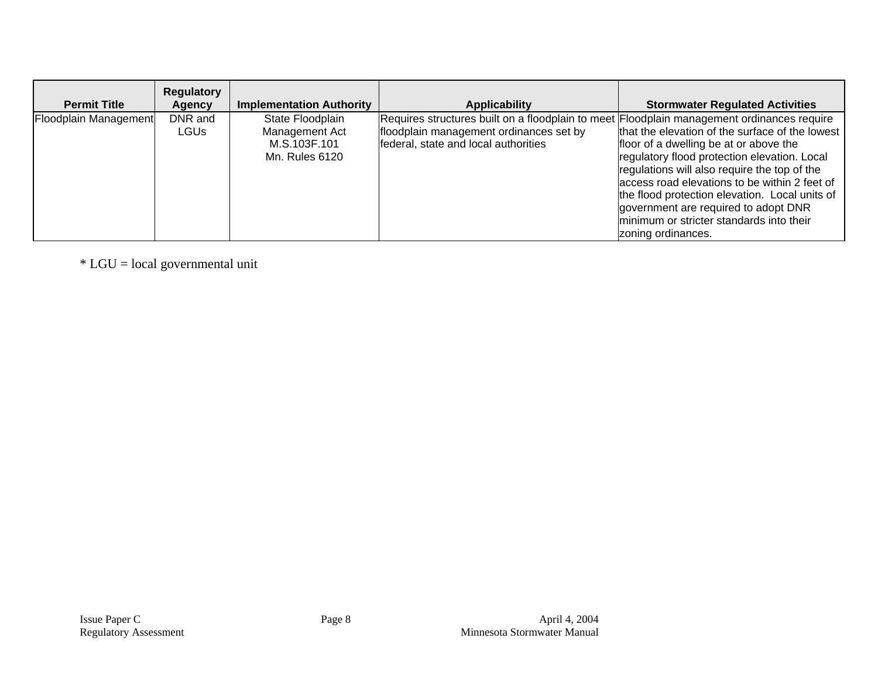| <b>Permit Title</b>   | <b>Regulatory</b><br>Agency | <b>Implementation Authority</b>                                      | <b>Applicability</b>                                                                                                                                                          | <b>Stormwater Regulated Activities</b>                                                                                                                                                                                                                                                                                                                                                                 |
|-----------------------|-----------------------------|----------------------------------------------------------------------|-------------------------------------------------------------------------------------------------------------------------------------------------------------------------------|--------------------------------------------------------------------------------------------------------------------------------------------------------------------------------------------------------------------------------------------------------------------------------------------------------------------------------------------------------------------------------------------------------|
| Floodplain Management | DNR and<br><b>LGUs</b>      | State Floodplain<br>Management Act<br>M.S.103F.101<br>Mn. Rules 6120 | Requires structures built on a floodplain to meet Floodplain management ordinances require<br>floodplain management ordinances set by<br>federal, state and local authorities | that the elevation of the surface of the lowest<br>floor of a dwelling be at or above the<br>regulatory flood protection elevation. Local<br>regulations will also require the top of the<br>access road elevations to be within 2 feet of<br>the flood protection elevation. Local units of<br>government are required to adopt DNR<br>minimum or stricter standards into their<br>zoning ordinances. |

\* LGU = local governmental unit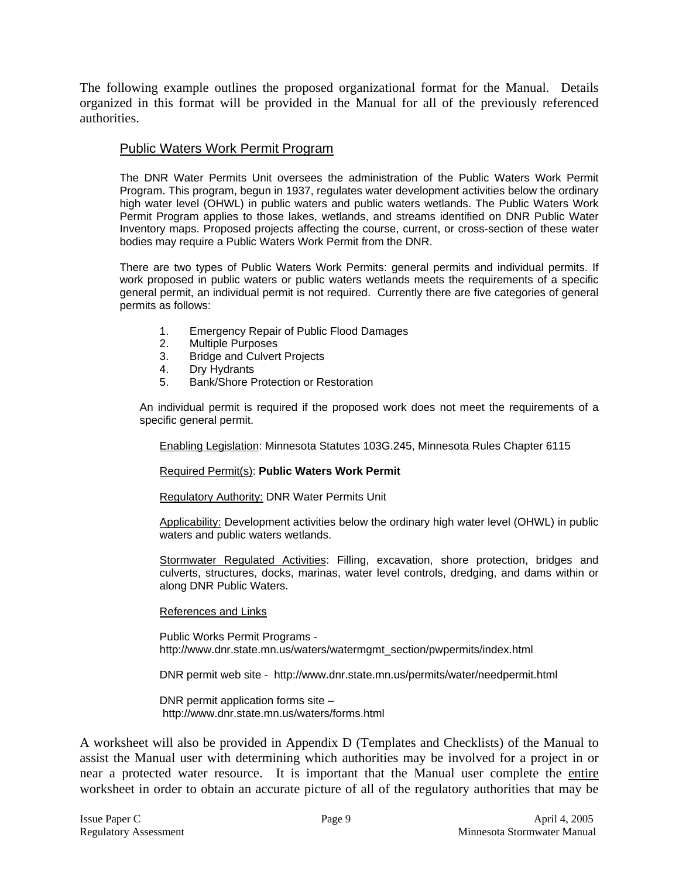The following example outlines the proposed organizational format for the Manual. Details organized in this format will be provided in the Manual for all of the previously referenced authorities.

### Public Waters Work Permit Program

The DNR Water Permits Unit oversees the administration of the Public Waters Work Permit Program. This program, begun in 1937, regulates water development activities below the ordinary high water level (OHWL) in public waters and public waters wetlands. The Public Waters Work Permit Program applies to those lakes, wetlands, and streams identified on DNR Public Water Inventory maps. Proposed projects affecting the course, current, or cross-section of these water bodies may require a Public Waters Work Permit from the DNR.

There are two types of Public Waters Work Permits: general permits and individual permits. If work proposed in public waters or public waters wetlands meets the requirements of a specific general permit, an individual permit is not required. Currently there are five categories of general permits as follows:

- 1. Emergency Repair of Public Flood Damages
- 2. Multiple Purposes
- 3. Bridge and Culvert Projects
- 4. Dry Hydrants
- 5. Bank/Shore Protection or Restoration

An individual permit is required if the proposed work does not meet the requirements of a specific general permit.

Enabling Legislation: Minnesota Statutes 103G.245, Minnesota Rules Chapter 6115

Required Permit(s): **Public Waters Work Permit**

Regulatory Authority: DNR Water Permits Unit

Applicability: Development activities below the ordinary high water level (OHWL) in public waters and public waters wetlands.

Stormwater Regulated Activities: Filling, excavation, shore protection, bridges and culverts, structures, docks, marinas, water level controls, dredging, and dams within or along DNR Public Waters.

#### References and Links

Public Works Permit Programs http://www.dnr.state.mn.us/waters/watermgmt\_section/pwpermits/index.html

DNR permit web site - http://www.dnr.state.mn.us/permits/water/needpermit.html

DNR permit application forms site – http://www.dnr.state.mn.us/waters/forms.html

A worksheet will also be provided in Appendix D (Templates and Checklists) of the Manual to assist the Manual user with determining which authorities may be involved for a project in or near a protected water resource. It is important that the Manual user complete the entire worksheet in order to obtain an accurate picture of all of the regulatory authorities that may be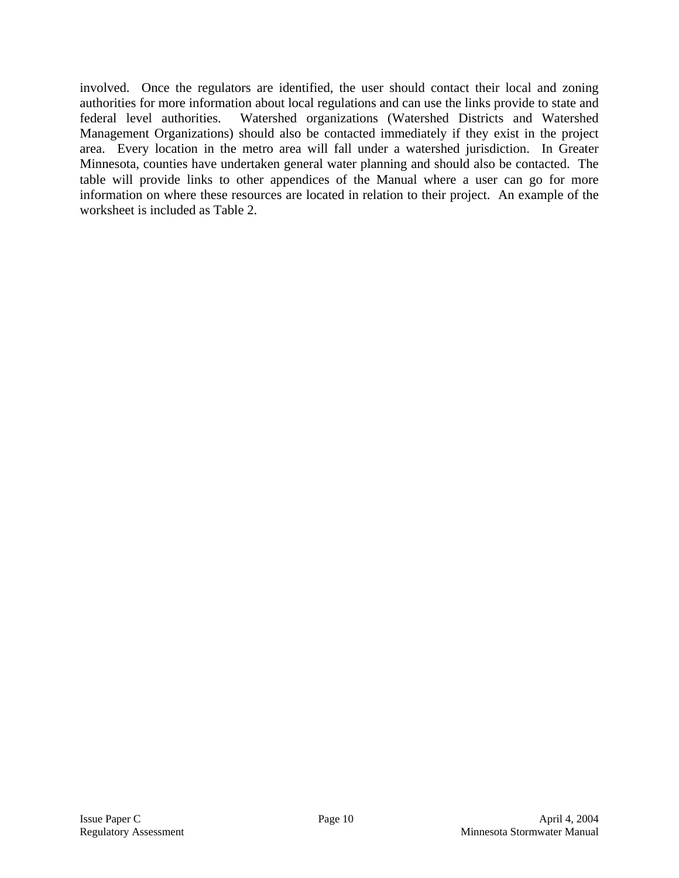involved. Once the regulators are identified, the user should contact their local and zoning authorities for more information about local regulations and can use the links provide to state and federal level authorities. Watershed organizations (Watershed Districts and Watershed Management Organizations) should also be contacted immediately if they exist in the project area. Every location in the metro area will fall under a watershed jurisdiction. In Greater Minnesota, counties have undertaken general water planning and should also be contacted. The table will provide links to other appendices of the Manual where a user can go for more information on where these resources are located in relation to their project. An example of the worksheet is included as Table 2.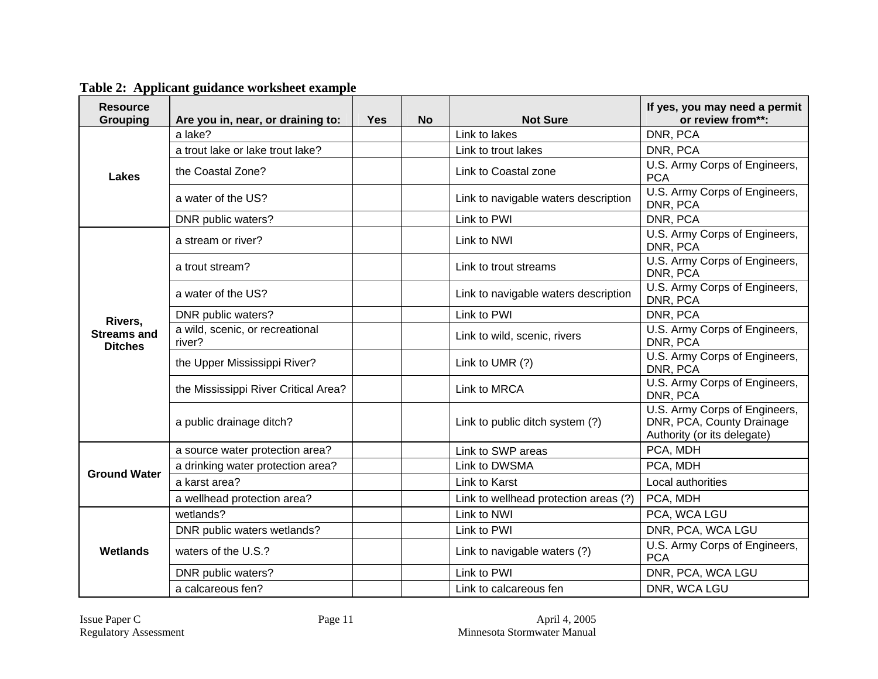**Table 2: Applicant guidance worksheet example** 

| <b>Resource</b><br><b>Grouping</b>   | Are you in, near, or draining to:         | <b>Yes</b> | <b>No</b> | <b>Not Sure</b>                       | If yes, you may need a permit<br>or review from**:                                        |
|--------------------------------------|-------------------------------------------|------------|-----------|---------------------------------------|-------------------------------------------------------------------------------------------|
|                                      | a lake?                                   |            |           | Link to lakes                         | DNR, PCA                                                                                  |
|                                      | a trout lake or lake trout lake?          |            |           | Link to trout lakes                   | DNR, PCA                                                                                  |
| <b>Lakes</b>                         | the Coastal Zone?                         |            |           | Link to Coastal zone                  | U.S. Army Corps of Engineers,<br><b>PCA</b>                                               |
|                                      | a water of the US?                        |            |           | Link to navigable waters description  | U.S. Army Corps of Engineers,<br>DNR, PCA                                                 |
|                                      | DNR public waters?                        |            |           | Link to PWI                           | DNR, PCA                                                                                  |
|                                      | a stream or river?                        |            |           | Link to NWI                           | U.S. Army Corps of Engineers,<br>DNR, PCA                                                 |
|                                      | a trout stream?                           |            |           | Link to trout streams                 | U.S. Army Corps of Engineers,<br>DNR, PCA                                                 |
|                                      | a water of the US?                        |            |           | Link to navigable waters description  | U.S. Army Corps of Engineers,<br>DNR, PCA                                                 |
| Rivers,                              | DNR public waters?                        |            |           | Link to PWI                           | DNR, PCA                                                                                  |
| <b>Streams and</b><br><b>Ditches</b> | a wild, scenic, or recreational<br>river? |            |           | Link to wild, scenic, rivers          | U.S. Army Corps of Engineers,<br>DNR, PCA                                                 |
|                                      | the Upper Mississippi River?              |            |           | Link to UMR (?)                       | U.S. Army Corps of Engineers,<br>DNR, PCA                                                 |
|                                      | the Mississippi River Critical Area?      |            |           | Link to MRCA                          | U.S. Army Corps of Engineers,<br>DNR, PCA                                                 |
|                                      | a public drainage ditch?                  |            |           | Link to public ditch system (?)       | U.S. Army Corps of Engineers,<br>DNR, PCA, County Drainage<br>Authority (or its delegate) |
|                                      | a source water protection area?           |            |           | Link to SWP areas                     | PCA, MDH                                                                                  |
| <b>Ground Water</b>                  | a drinking water protection area?         |            |           | Link to DWSMA                         | PCA, MDH                                                                                  |
|                                      | a karst area?                             |            |           | Link to Karst                         | Local authorities                                                                         |
|                                      | a wellhead protection area?               |            |           | Link to wellhead protection areas (?) | PCA, MDH                                                                                  |
|                                      | wetlands?                                 |            |           | Link to NWI                           | PCA, WCA LGU                                                                              |
|                                      | DNR public waters wetlands?               |            |           | Link to PWI                           | DNR, PCA, WCA LGU                                                                         |
| <b>Wetlands</b>                      | waters of the U.S.?                       |            |           | Link to navigable waters (?)          | U.S. Army Corps of Engineers,<br><b>PCA</b>                                               |
|                                      | DNR public waters?                        |            |           | Link to PWI                           | DNR, PCA, WCA LGU                                                                         |
|                                      | a calcareous fen?                         |            |           | Link to calcareous fen                | DNR, WCA LGU                                                                              |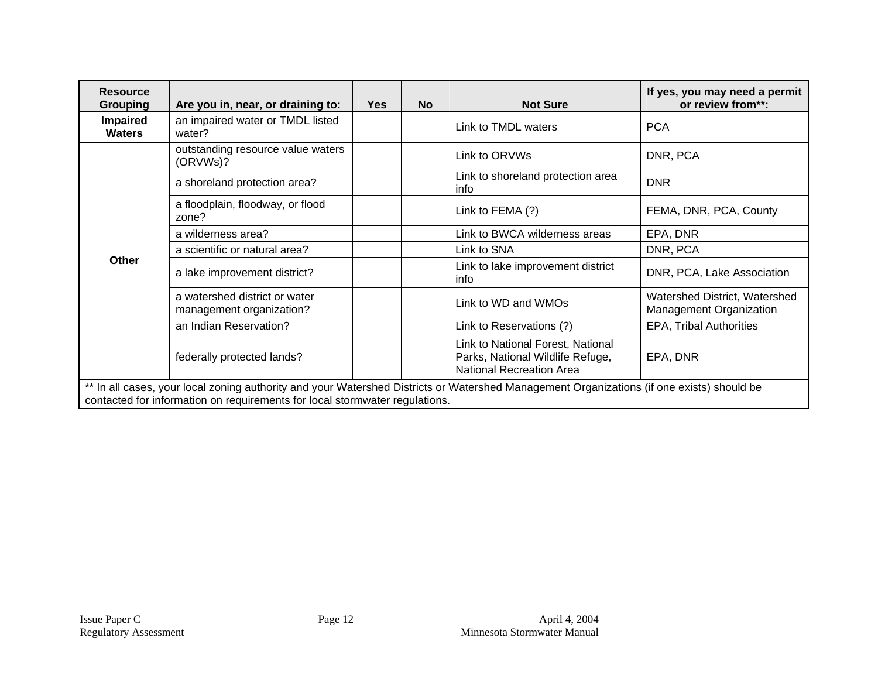| <b>Resource</b><br><b>Grouping</b> | Are you in, near, or draining to:                                                                                                                                                                                        | <b>Yes</b> | <b>No</b> | <b>Not Sure</b>                                                                                          | If yes, you may need a permit<br>or review from**:       |  |
|------------------------------------|--------------------------------------------------------------------------------------------------------------------------------------------------------------------------------------------------------------------------|------------|-----------|----------------------------------------------------------------------------------------------------------|----------------------------------------------------------|--|
| <b>Impaired</b><br><b>Waters</b>   | an impaired water or TMDL listed<br>water?                                                                                                                                                                               |            |           | Link to TMDL waters                                                                                      | <b>PCA</b>                                               |  |
|                                    | outstanding resource value waters<br>(ORVWs)?                                                                                                                                                                            |            |           | Link to ORVWs                                                                                            | DNR, PCA                                                 |  |
|                                    | a shoreland protection area?                                                                                                                                                                                             |            |           | Link to shoreland protection area<br>info                                                                | <b>DNR</b>                                               |  |
|                                    | a floodplain, floodway, or flood<br>zone?                                                                                                                                                                                |            |           | Link to FEMA (?)                                                                                         | FEMA, DNR, PCA, County                                   |  |
|                                    | a wilderness area?                                                                                                                                                                                                       |            |           | Link to BWCA wilderness areas                                                                            | EPA, DNR                                                 |  |
|                                    | a scientific or natural area?                                                                                                                                                                                            |            |           | Link to SNA                                                                                              | DNR, PCA                                                 |  |
| <b>Other</b>                       | a lake improvement district?                                                                                                                                                                                             |            |           | Link to lake improvement district<br>info                                                                | DNR, PCA, Lake Association                               |  |
|                                    | a watershed district or water<br>management organization?                                                                                                                                                                |            |           | Link to WD and WMOs                                                                                      | Watershed District, Watershed<br>Management Organization |  |
|                                    | an Indian Reservation?                                                                                                                                                                                                   |            |           | Link to Reservations (?)                                                                                 | <b>EPA, Tribal Authorities</b>                           |  |
|                                    | federally protected lands?                                                                                                                                                                                               |            |           | Link to National Forest, National<br>Parks, National Wildlife Refuge,<br><b>National Recreation Area</b> | EPA, DNR                                                 |  |
|                                    | ** In all cases, your local zoning authority and your Watershed Districts or Watershed Management Organizations (if one exists) should be<br>contacted for information on requirements for local stormwater regulations. |            |           |                                                                                                          |                                                          |  |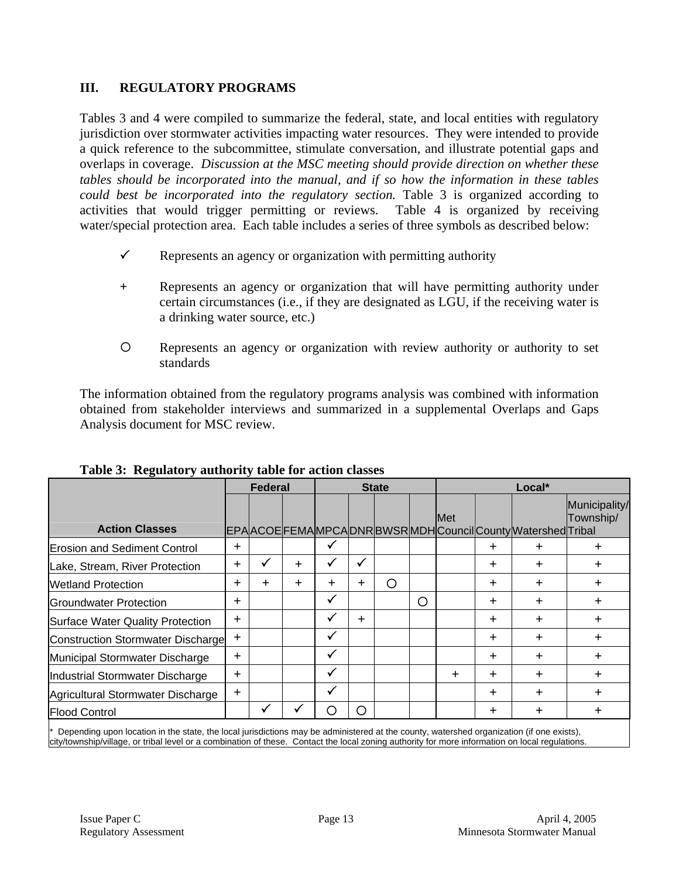# **III. REGULATORY PROGRAMS**

Tables 3 and 4 were compiled to summarize the federal, state, and local entities with regulatory jurisdiction over stormwater activities impacting water resources. They were intended to provide a quick reference to the subcommittee, stimulate conversation, and illustrate potential gaps and overlaps in coverage. *Discussion at the MSC meeting should provide direction on whether these tables should be incorporated into the manual, and if so how the information in these tables could best be incorporated into the regulatory section.* Table 3 is organized according to activities that would trigger permitting or reviews. Table 4 is organized by receiving water/special protection area. Each table includes a series of three symbols as described below:

- $\checkmark$  Represents an agency or organization with permitting authority
- **+** Represents an agency or organization that will have permitting authority under certain circumstances (i.e., if they are designated as LGU, if the receiving water is a drinking water source, etc.)
- { Represents an agency or organization with review authority or authority to set standards

The information obtained from the regulatory programs analysis was combined with information obtained from stakeholder interviews and summarized in a supplemental Overlaps and Gaps Analysis document for MSC review.

|                                          | <b>Federal</b> |              |     |        | <b>State</b> |   |   |            | Local*    |                                                       |                            |  |  |
|------------------------------------------|----------------|--------------|-----|--------|--------------|---|---|------------|-----------|-------------------------------------------------------|----------------------------|--|--|
| <b>Action Classes</b>                    |                |              |     |        |              |   |   | <b>Met</b> |           | EPAACOEFEMAMPCADNRBWSRMDHCouncilCountyMatershedTribal | Municipality/<br>Township/ |  |  |
| <b>Erosion and Sediment Control</b>      | $+$            |              |     | ✔      |              |   |   |            | $\pm$     | ┿                                                     | $^{+}$                     |  |  |
| Lake, Stream, River Protection           | $\pm$          |              | $+$ | ✓      | V            |   |   |            | $\div$    | $\pm$                                                 | $\pm$                      |  |  |
| <b>Wetland Protection</b>                | $+$            | $\pm$        | $+$ | $^{+}$ | $^{+}$       | O |   |            | $+$       | ┿                                                     | $+$                        |  |  |
| <b>IGroundwater Protection</b>           | $\pm$          |              |     | ✓      |              |   | O |            | $\div$    | $\pm$                                                 | $\pm$                      |  |  |
| Surface Water Quality Protection         | $+$            |              |     | ✓      | $\pm$        |   |   |            | $+$       | $\ddot{}$                                             | $+$                        |  |  |
| <b>Construction Stormwater Discharge</b> | $\pm$          |              |     | ✓      |              |   |   |            | $\div$    | ┿                                                     | $\pm$                      |  |  |
| Municipal Stormwater Discharge           | $+$            |              |     | ✓      |              |   |   |            | $+$       | $\pm$                                                 | $\ddot{}$                  |  |  |
| Industrial Stormwater Discharge          | $+$            |              |     | ✓      |              |   |   | $\pm$      | $+$       | $+$                                                   | $+$                        |  |  |
| Agricultural Stormwater Discharge        | $\pm$          |              |     | ✓      |              |   |   |            | $\pm$     | ┿                                                     | $\pm$                      |  |  |
| <b>Flood Control</b>                     |                | $\checkmark$ | ✓   | O      | O            |   |   |            | $\ddot{}$ | $\pm$                                                 | $\pm$                      |  |  |

### **Table 3: Regulatory authority table for action classes**

Depending upon location in the state, the local jurisdictions may be administered at the county, watershed organization (if one exists), city/township/village, or tribal level or a combination of these. Contact the local zoning authority for more information on local regulations.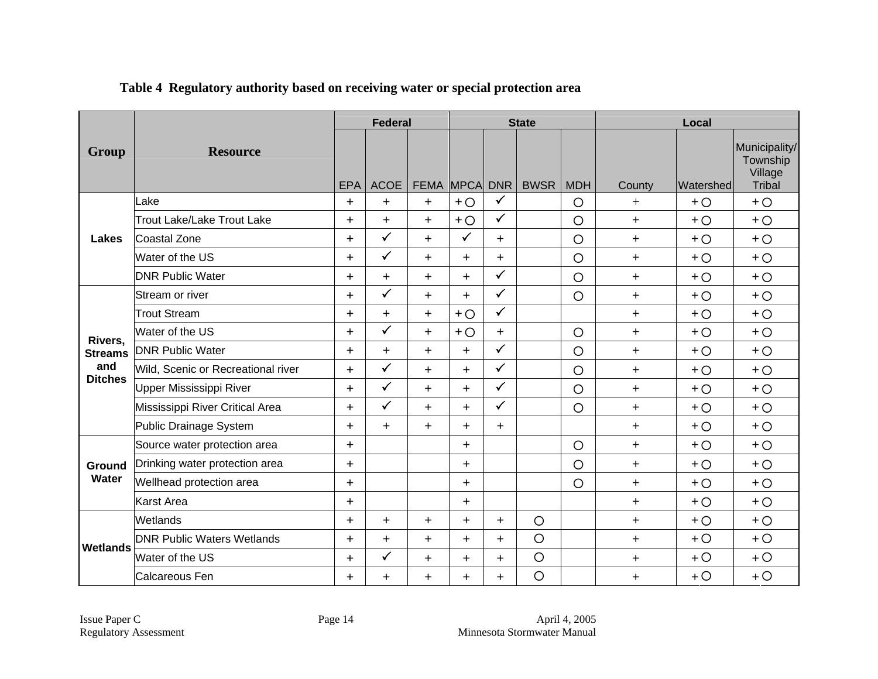|                                                                                                   |                                    |            | <b>Federal</b>      |                  |                      |                            | <b>State</b> |            | Local     |           |                                      |
|---------------------------------------------------------------------------------------------------|------------------------------------|------------|---------------------|------------------|----------------------|----------------------------|--------------|------------|-----------|-----------|--------------------------------------|
| Group                                                                                             | <b>Resource</b>                    |            |                     |                  |                      |                            |              |            |           |           | Municipality/<br>Township<br>Village |
|                                                                                                   | Lake                               | <b>EPA</b> | <b>ACOE</b>         | <b>FEMA MPCA</b> |                      | <b>DNR</b><br>$\checkmark$ | <b>BWSR</b>  | <b>MDH</b> | County    | Watershed | Tribal                               |
| Lakes<br>Rivers,<br><b>Streams</b><br>and<br><b>Ditches</b><br>Ground<br>Water<br><b>Wetlands</b> | <b>Trout Lake/Lake Trout Lake</b>  | $\pm$      | $\pm$               | $+$              | $+O$                 | $\checkmark$               |              | $\circ$    | $+$       | $+O$      | $+O$                                 |
|                                                                                                   |                                    | $+$        | $+$<br>$\checkmark$ | $+$              | $+O$<br>$\checkmark$ |                            |              | $\circ$    | $+$       | $+O$      | $+O$                                 |
|                                                                                                   | Coastal Zone                       | $+$        |                     | $+$              |                      | $+$                        |              | $\circ$    | $+$       | $+O$      | $+O$                                 |
|                                                                                                   | Water of the US                    | $+$        | $\checkmark$        | $+$              | $\pm$                | $+$                        |              | $\circ$    | $+$       | $+O$      | $+O$                                 |
|                                                                                                   | <b>DNR Public Water</b>            | $\pm$      | $\pm$               | $+$              | $+$                  | $\checkmark$               |              | $\circ$    | $\ddot{}$ | $+O$      | $+O$                                 |
|                                                                                                   | Stream or river                    | $+$        | $\checkmark$        | $+$              | $+$                  | $\checkmark$               |              | $\circ$    | $+$       | $+O$      | $+O$                                 |
|                                                                                                   | <b>Trout Stream</b>                | $+$        | $+$                 | $+$              | $+O$                 | $\checkmark$               |              |            | $+$       | $+O$      | $+O$                                 |
|                                                                                                   | Water of the US                    | $+$        | $\checkmark$        | $+$              | $+O$                 | $+$                        |              | $\circ$    | $+$       | $+O$      | $+O$                                 |
|                                                                                                   | <b>DNR Public Water</b>            | $+$        | $+$                 | $+$              | $+$                  | $\checkmark$               |              | $\circ$    | $+$       | $+O$      | $+O$                                 |
|                                                                                                   | Wild, Scenic or Recreational river | $+$        | $\checkmark$        | $+$              | $+$                  | ✓                          |              | $\circ$    | $+$       | $+O$      | $+O$                                 |
|                                                                                                   | Upper Mississippi River            | $+$        | $\checkmark$        | $+$              | $+$                  | $\checkmark$               |              | $\circ$    | $+$       | $+O$      | $+O$                                 |
|                                                                                                   | Mississippi River Critical Area    | $+$        | $\checkmark$        | $+$              | $+$                  | ✓                          |              | $\circ$    | $+$       | $+O$      | $+O$                                 |
|                                                                                                   | Public Drainage System             | $+$        | $+$                 | $+$              | $+$                  | $+$                        |              |            | $+$       | $+O$      | $+O$                                 |
|                                                                                                   | Source water protection area       | $+$        |                     |                  | $+$                  |                            |              | $\circ$    | $+$       | $+O$      | $+O$                                 |
|                                                                                                   | Drinking water protection area     | $+$        |                     |                  | $+$                  |                            |              | $\circ$    | $+$       | $+O$      | $+O$                                 |
|                                                                                                   | Wellhead protection area           | $+$        |                     |                  | $+$                  |                            |              | $\circ$    | $+$       | $+O$      | $+O$                                 |
|                                                                                                   | <b>Karst Area</b>                  | $+$        |                     |                  | $+$                  |                            |              |            | $+$       | $+O$      | $+O$                                 |
|                                                                                                   | <b>Wetlands</b>                    | $+$        | $\ddag$             | $+$              | $+$                  | $+$                        | $\circ$      |            | $+$       | $+O$      | $+O$                                 |
|                                                                                                   | <b>DNR Public Waters Wetlands</b>  | $^{+}$     | $+$                 | $+$              | $+$                  | $+$                        | $\circ$      |            | $+$       | $+O$      | $+O$                                 |
|                                                                                                   | Water of the US                    | $+$        | $\checkmark$        | $+$              | $+$                  | $+$                        | $\circ$      |            | $+$       | $+O$      | $+O$                                 |
|                                                                                                   | Calcareous Fen                     | $\pm$      | $+$                 | $\ddot{}$        | $\ddot{}$            | $+$                        | $\circ$      |            | $+$       | $+O$      | $+O$                                 |

# **Table 4 Regulatory authority based on receiving water or special protection area**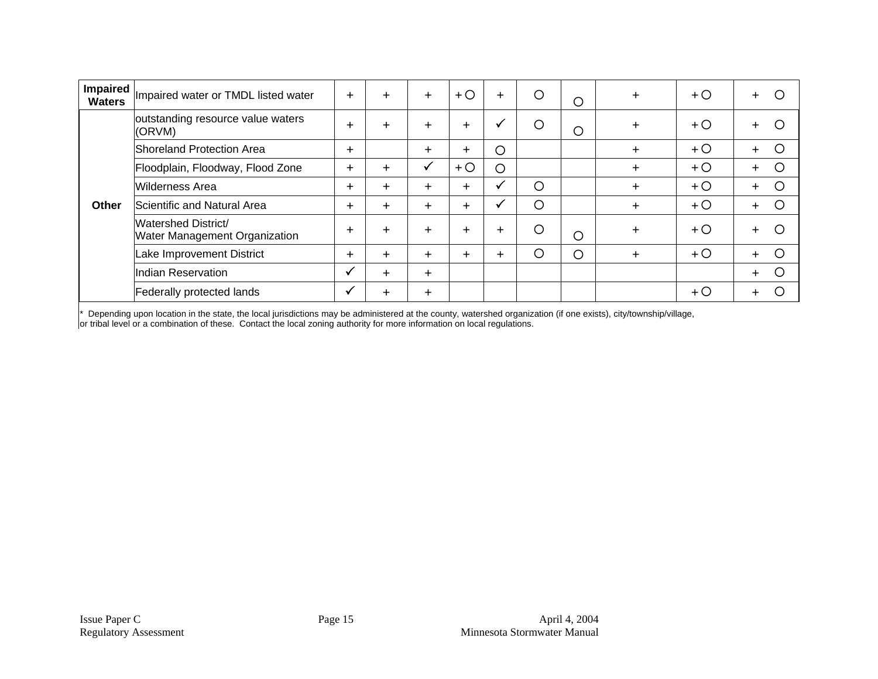| <b>Impaired</b><br><b>Waters</b> | Impaired water or TMDL listed water                         | $^{+}$ | $\pm$  | $\pm$ | $+$ O | $+$     | $\circ$ | $\circ$ | $+$       | $+O$  | Ω<br>$+$    |
|----------------------------------|-------------------------------------------------------------|--------|--------|-------|-------|---------|---------|---------|-----------|-------|-------------|
|                                  | outstanding resource value waters<br>(ORVM)                 |        | $^{+}$ | $\pm$ | $+$   | M       | $\circ$ | O       | $\ddot{}$ | $+$ O | ∩           |
|                                  | Shoreland Protection Area                                   |        |        | $\pm$ | $+$   | $\circ$ |         |         | $+$       | $+O$  | Ω<br>$+$    |
|                                  | Floodplain, Floodway, Flood Zone                            |        | $\pm$  | √     | $+O$  | $\circ$ |         |         | $+$       | $+$ O | ∩<br>$^{+}$ |
|                                  | <b>Wilderness Area</b>                                      | $+$    | $^{+}$ | $\pm$ | $+$   | M       | $\circ$ |         | $+$       | $+O$  | ∩           |
| Other                            | Scientific and Natural Area                                 |        | $^{+}$ | $\pm$ | $+$   |         | $\circ$ |         | $\pm$     | $+$ O |             |
|                                  | Watershed District/<br><b>Water Management Organization</b> | $^{+}$ | $^{+}$ | $\pm$ | $+$   | $^{+}$  | $\circ$ | O       | $\pm$     | $+$ O |             |
|                                  | Lake Improvement District                                   | $+$    | $^{+}$ | $\pm$ | $+$   | $^{+}$  | $\circ$ | O       | $\pm$     | $+O$  | С<br>$\pm$  |
|                                  | Indian Reservation                                          |        | $^{+}$ | $\pm$ |       |         |         |         |           |       | ◯<br>$\pm$  |
|                                  | Federally protected lands                                   | √      | $\pm$  | $\pm$ |       |         |         |         |           | $+$ O | $\pm$       |

\* Depending upon location in the state, the local jurisdictions may be administered at the county, watershed organization (if one exists), city/township/village,

or tribal level or a combination of these. Contact the local zoning authority for more information on local regulations.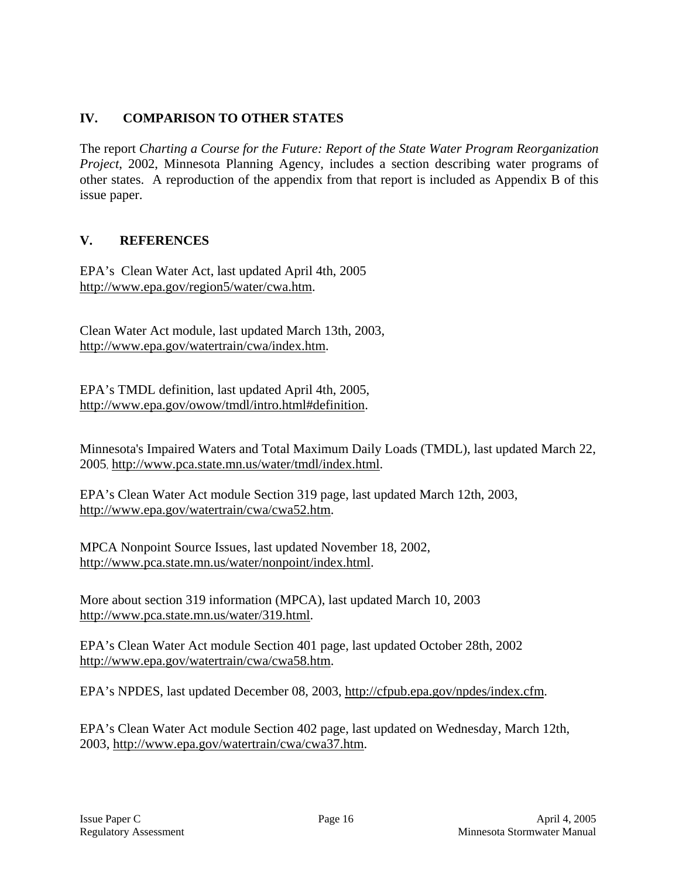# **IV. COMPARISON TO OTHER STATES**

The report *Charting a Course for the Future: Report of the State Water Program Reorganization Project*, 2002, Minnesota Planning Agency, includes a section describing water programs of other states. A reproduction of the appendix from that report is included as Appendix B of this issue paper.

# **V. REFERENCES**

EPA's Clean Water Act, last updated April 4th, 2005 http://www.epa.gov/region5/water/cwa.htm.

Clean Water Act module, last updated March 13th, 2003, http://www.epa.gov/watertrain/cwa/index.htm.

EPA's TMDL definition, last updated April 4th, 2005, http://www.epa.gov/owow/tmdl/intro.html#definition.

Minnesota's Impaired Waters and Total Maximum Daily Loads (TMDL), last updated March 22, 2005, http://www.pca.state.mn.us/water/tmdl/index.html.

EPA's Clean Water Act module Section 319 page, last updated March 12th, 2003, http://www.epa.gov/watertrain/cwa/cwa52.htm.

MPCA Nonpoint Source Issues, last updated November 18, 2002, http://www.pca.state.mn.us/water/nonpoint/index.html.

More about section 319 information (MPCA), last updated March 10, 2003 http://www.pca.state.mn.us/water/319.html.

EPA's Clean Water Act module Section 401 page, last updated October 28th, 2002 http://www.epa.gov/watertrain/cwa/cwa58.htm.

EPA's NPDES, last updated December 08, 2003, http://cfpub.epa.gov/npdes/index.cfm.

EPA's Clean Water Act module Section 402 page, last updated on Wednesday, March 12th, 2003, http://www.epa.gov/watertrain/cwa/cwa37.htm.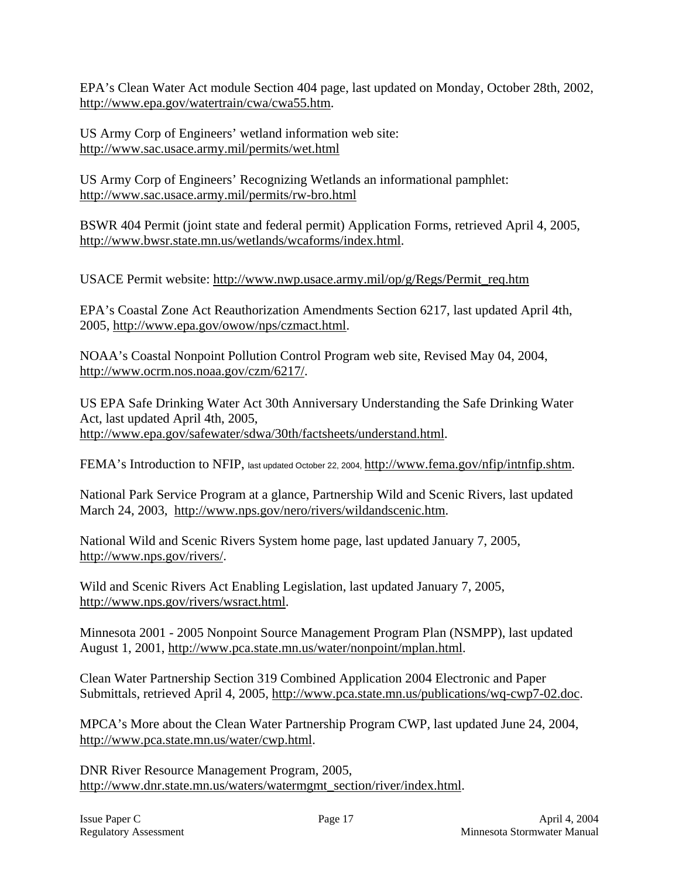EPA's Clean Water Act module Section 404 page, last updated on Monday, October 28th, 2002, http://www.epa.gov/watertrain/cwa/cwa55.htm.

US Army Corp of Engineers' wetland information web site: http://www.sac.usace.army.mil/permits/wet.html

US Army Corp of Engineers' Recognizing Wetlands an informational pamphlet: http://www.sac.usace.army.mil/permits/rw-bro.html

BSWR 404 Permit (joint state and federal permit) Application Forms, retrieved April 4, 2005, http://www.bwsr.state.mn.us/wetlands/wcaforms/index.html.

USACE Permit website: http://www.nwp.usace.army.mil/op/g/Regs/Permit\_req.htm

EPA's Coastal Zone Act Reauthorization Amendments Section 6217, last updated April 4th, 2005, http://www.epa.gov/owow/nps/czmact.html.

NOAA's Coastal Nonpoint Pollution Control Program web site, Revised May 04, 2004, http://www.ocrm.nos.noaa.gov/czm/6217/.

US EPA Safe Drinking Water Act 30th Anniversary Understanding the Safe Drinking Water Act, last updated April 4th, 2005, http://www.epa.gov/safewater/sdwa/30th/factsheets/understand.html.

FEMA's Introduction to NFIP, last updated October 22, 2004, http://www.fema.gov/nfip/intnfip.shtm.

National Park Service Program at a glance, Partnership Wild and Scenic Rivers, last updated March 24, 2003, http://www.nps.gov/nero/rivers/wildandscenic.htm.

National Wild and Scenic Rivers System home page, last updated January 7, 2005, http://www.nps.gov/rivers/.

Wild and Scenic Rivers Act Enabling Legislation, last updated January 7, 2005, http://www.nps.gov/rivers/wsract.html.

Minnesota 2001 - 2005 Nonpoint Source Management Program Plan (NSMPP), last updated August 1, 2001, http://www.pca.state.mn.us/water/nonpoint/mplan.html.

Clean Water Partnership Section 319 Combined Application 2004 Electronic and Paper Submittals, retrieved April 4, 2005, http://www.pca.state.mn.us/publications/wq-cwp7-02.doc.

MPCA's More about the Clean Water Partnership Program CWP, last updated June 24, 2004, http://www.pca.state.mn.us/water/cwp.html.

DNR River Resource Management Program, 2005, http://www.dnr.state.mn.us/waters/watermgmt\_section/river/index.html.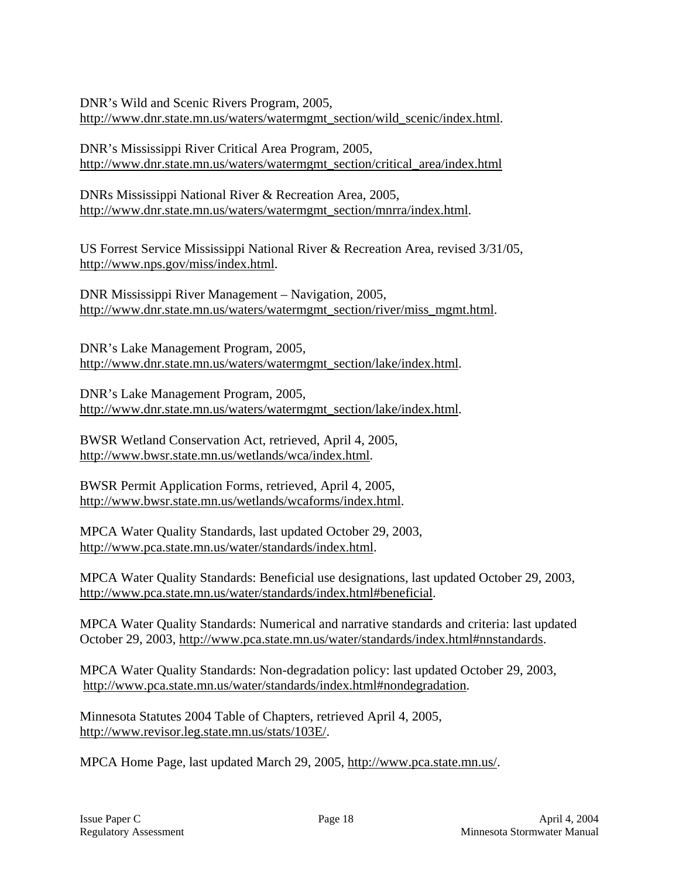DNR's Wild and Scenic Rivers Program, 2005, http://www.dnr.state.mn.us/waters/watermgmt\_section/wild\_scenic/index.html.

DNR's Mississippi River Critical Area Program, 2005, http://www.dnr.state.mn.us/waters/watermgmt\_section/critical\_area/index.html

DNRs Mississippi National River & Recreation Area, 2005, http://www.dnr.state.mn.us/waters/watermgmt\_section/mnrra/index.html.

US Forrest Service Mississippi National River & Recreation Area, revised 3/31/05, http://www.nps.gov/miss/index.html.

DNR Mississippi River Management – Navigation, 2005, http://www.dnr.state.mn.us/waters/watermgmt\_section/river/miss\_mgmt.html.

DNR's Lake Management Program, 2005, http://www.dnr.state.mn.us/waters/watermgmt\_section/lake/index.html.

DNR's Lake Management Program, 2005, http://www.dnr.state.mn.us/waters/watermgmt\_section/lake/index.html.

BWSR Wetland Conservation Act, retrieved, April 4, 2005, http://www.bwsr.state.mn.us/wetlands/wca/index.html.

BWSR Permit Application Forms, retrieved, April 4, 2005, http://www.bwsr.state.mn.us/wetlands/wcaforms/index.html.

MPCA Water Quality Standards, last updated October 29, 2003, http://www.pca.state.mn.us/water/standards/index.html.

MPCA Water Quality Standards: Beneficial use designations, last updated October 29, 2003, http://www.pca.state.mn.us/water/standards/index.html#beneficial.

MPCA Water Quality Standards: Numerical and narrative standards and criteria: last updated October 29, 2003, http://www.pca.state.mn.us/water/standards/index.html#nnstandards.

MPCA Water Quality Standards: Non-degradation policy: last updated October 29, 2003, http://www.pca.state.mn.us/water/standards/index.html#nondegradation.

Minnesota Statutes 2004 Table of Chapters, retrieved April 4, 2005, http://www.revisor.leg.state.mn.us/stats/103E/.

MPCA Home Page, last updated March 29, 2005, http://www.pca.state.mn.us/.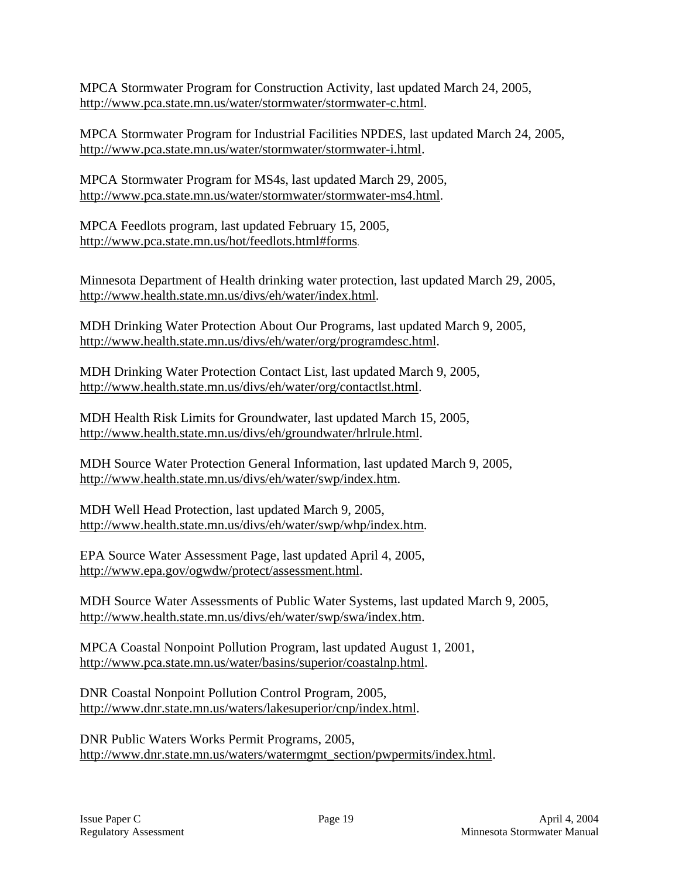MPCA Stormwater Program for Construction Activity, last updated March 24, 2005, http://www.pca.state.mn.us/water/stormwater/stormwater-c.html.

MPCA Stormwater Program for Industrial Facilities NPDES, last updated March 24, 2005, http://www.pca.state.mn.us/water/stormwater/stormwater-i.html.

MPCA Stormwater Program for MS4s, last updated March 29, 2005, http://www.pca.state.mn.us/water/stormwater/stormwater-ms4.html.

MPCA Feedlots program, last updated February 15, 2005, http://www.pca.state.mn.us/hot/feedlots.html#forms.

Minnesota Department of Health drinking water protection, last updated March 29, 2005, http://www.health.state.mn.us/divs/eh/water/index.html.

MDH Drinking Water Protection About Our Programs, last updated March 9, 2005, http://www.health.state.mn.us/divs/eh/water/org/programdesc.html.

MDH Drinking Water Protection Contact List, last updated March 9, 2005, http://www.health.state.mn.us/divs/eh/water/org/contactlst.html.

MDH Health Risk Limits for Groundwater, last updated March 15, 2005, http://www.health.state.mn.us/divs/eh/groundwater/hrlrule.html.

MDH Source Water Protection General Information, last updated March 9, 2005, http://www.health.state.mn.us/divs/eh/water/swp/index.htm.

MDH Well Head Protection, last updated March 9, 2005, http://www.health.state.mn.us/divs/eh/water/swp/whp/index.htm.

EPA Source Water Assessment Page, last updated April 4, 2005, http://www.epa.gov/ogwdw/protect/assessment.html.

MDH Source Water Assessments of Public Water Systems, last updated March 9, 2005, http://www.health.state.mn.us/divs/eh/water/swp/swa/index.htm.

MPCA Coastal Nonpoint Pollution Program, last updated August 1, 2001, http://www.pca.state.mn.us/water/basins/superior/coastalnp.html.

DNR Coastal Nonpoint Pollution Control Program, 2005, http://www.dnr.state.mn.us/waters/lakesuperior/cnp/index.html.

DNR Public Waters Works Permit Programs, 2005, http://www.dnr.state.mn.us/waters/watermgmt\_section/pwpermits/index.html.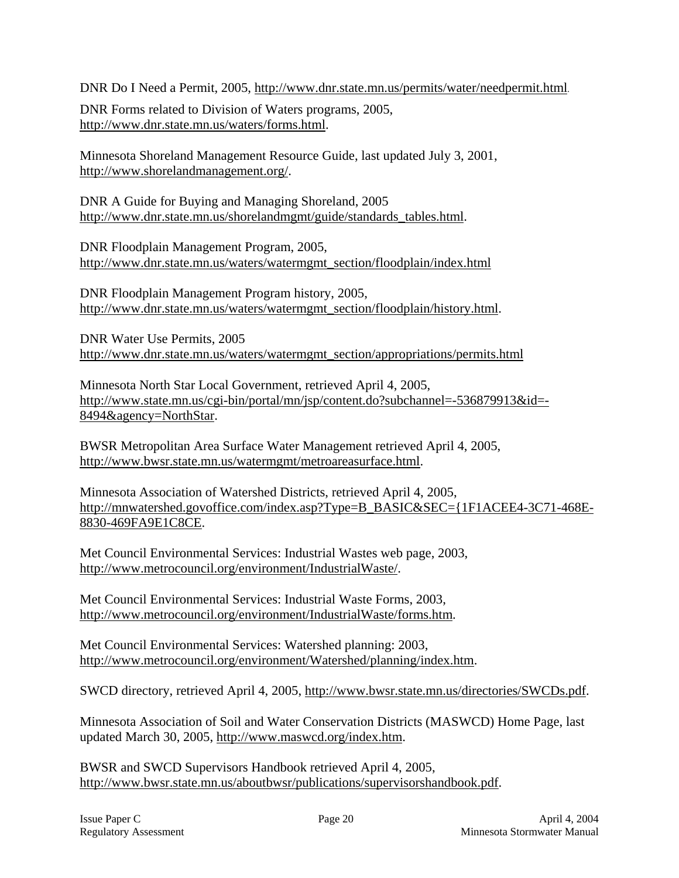DNR Do I Need a Permit, 2005, http://www.dnr.state.mn.us/permits/water/needpermit.html.

DNR Forms related to Division of Waters programs, 2005, http://www.dnr.state.mn.us/waters/forms.html.

Minnesota Shoreland Management Resource Guide, last updated July 3, 2001, http://www.shorelandmanagement.org/.

DNR A Guide for Buying and Managing Shoreland, 2005 http://www.dnr.state.mn.us/shorelandmgmt/guide/standards\_tables.html.

DNR Floodplain Management Program, 2005, http://www.dnr.state.mn.us/waters/watermgmt\_section/floodplain/index.html

DNR Floodplain Management Program history, 2005, http://www.dnr.state.mn.us/waters/watermgmt\_section/floodplain/history.html.

DNR Water Use Permits, 2005 http://www.dnr.state.mn.us/waters/watermgmt\_section/appropriations/permits.html

Minnesota North Star Local Government, retrieved April 4, 2005, http://www.state.mn.us/cgi-bin/portal/mn/jsp/content.do?subchannel=-536879913&id=- 8494&agency=NorthStar.

BWSR Metropolitan Area Surface Water Management retrieved April 4, 2005, http://www.bwsr.state.mn.us/watermgmt/metroareasurface.html.

Minnesota Association of Watershed Districts, retrieved April 4, 2005, http://mnwatershed.govoffice.com/index.asp?Type=B\_BASIC&SEC={1F1ACEE4-3C71-468E-8830-469FA9E1C8CE.

Met Council Environmental Services: Industrial Wastes web page, 2003, http://www.metrocouncil.org/environment/IndustrialWaste/.

Met Council Environmental Services: Industrial Waste Forms, 2003, http://www.metrocouncil.org/environment/IndustrialWaste/forms.htm.

Met Council Environmental Services: Watershed planning: 2003, http://www.metrocouncil.org/environment/Watershed/planning/index.htm.

SWCD directory, retrieved April 4, 2005, http://www.bwsr.state.mn.us/directories/SWCDs.pdf.

Minnesota Association of Soil and Water Conservation Districts (MASWCD) Home Page, last updated March 30, 2005, http://www.maswcd.org/index.htm.

BWSR and SWCD Supervisors Handbook retrieved April 4, 2005, http://www.bwsr.state.mn.us/aboutbwsr/publications/supervisorshandbook.pdf.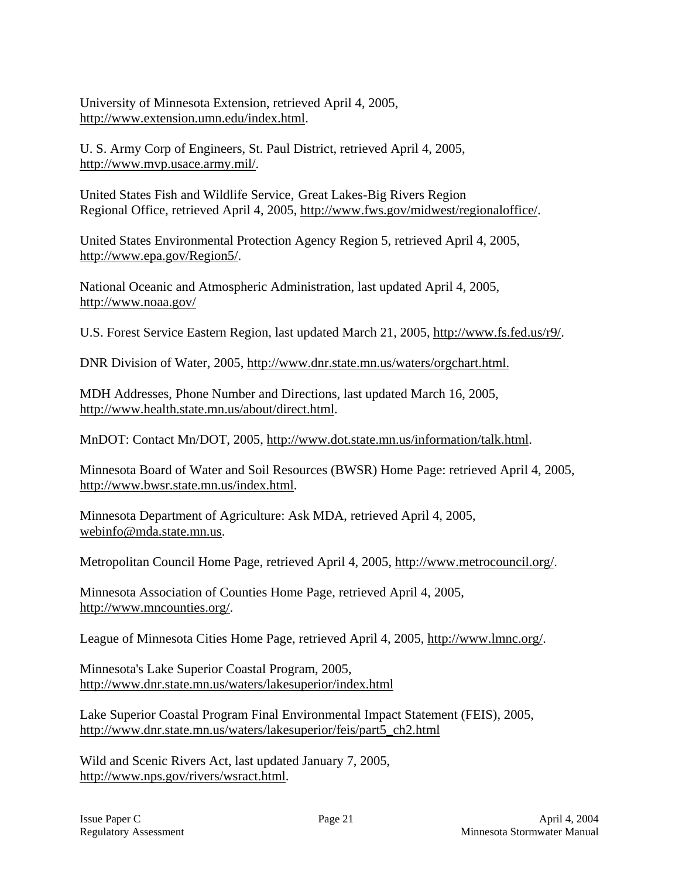University of Minnesota Extension, retrieved April 4, 2005, http://www.extension.umn.edu/index.html.

U. S. Army Corp of Engineers, St. Paul District, retrieved April 4, 2005, http://www.mvp.usace.army.mil/.

United States Fish and Wildlife Service, Great Lakes-Big Rivers Region Regional Office, retrieved April 4, 2005, http://www.fws.gov/midwest/regionaloffice/.

United States Environmental Protection Agency Region 5, retrieved April 4, 2005, http://www.epa.gov/Region5/.

National Oceanic and Atmospheric Administration, last updated April 4, 2005, http://www.noaa.gov/

U.S. Forest Service Eastern Region, last updated March 21, 2005, http://www.fs.fed.us/r9/.

DNR Division of Water, 2005, http://www.dnr.state.mn.us/waters/orgchart.html.

MDH Addresses, Phone Number and Directions, last updated March 16, 2005, http://www.health.state.mn.us/about/direct.html.

MnDOT: Contact Mn/DOT, 2005, http://www.dot.state.mn.us/information/talk.html.

Minnesota Board of Water and Soil Resources (BWSR) Home Page: retrieved April 4, 2005, http://www.bwsr.state.mn.us/index.html.

Minnesota Department of Agriculture: Ask MDA, retrieved April 4, 2005, webinfo@mda.state.mn.us.

Metropolitan Council Home Page, retrieved April 4, 2005, http://www.metrocouncil.org/.

Minnesota Association of Counties Home Page, retrieved April 4, 2005, http://www.mncounties.org/.

League of Minnesota Cities Home Page, retrieved April 4, 2005, http://www.lmnc.org/.

Minnesota's Lake Superior Coastal Program, 2005, http://www.dnr.state.mn.us/waters/lakesuperior/index.html

Lake Superior Coastal Program Final Environmental Impact Statement (FEIS), 2005, http://www.dnr.state.mn.us/waters/lakesuperior/feis/part5\_ch2.html

Wild and Scenic Rivers Act, last updated January 7, 2005, http://www.nps.gov/rivers/wsract.html.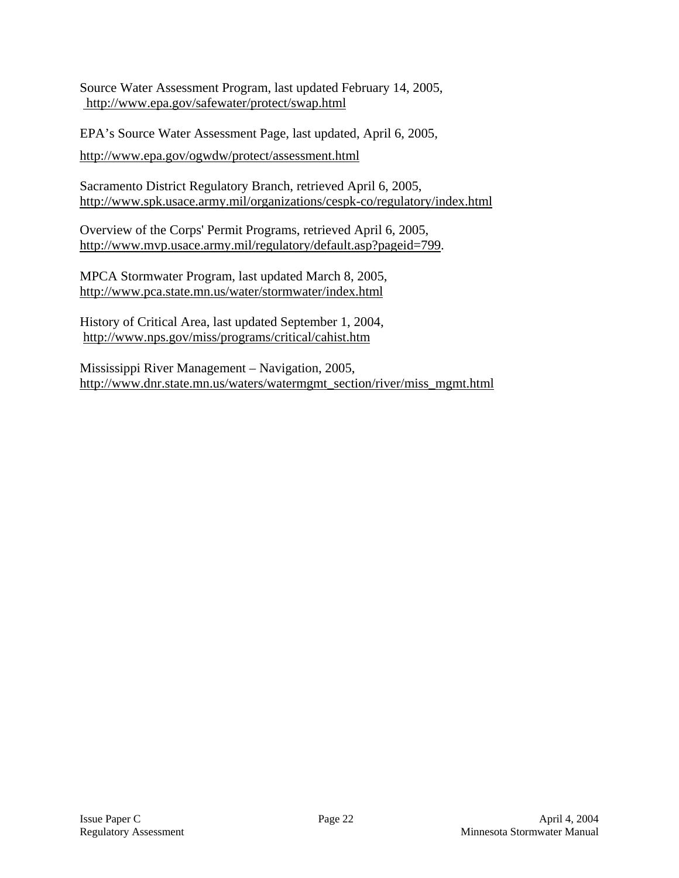Source Water Assessment Program, last updated February 14, 2005, http://www.epa.gov/safewater/protect/swap.html

EPA's Source Water Assessment Page, last updated, April 6, 2005, http://www.epa.gov/ogwdw/protect/assessment.html

Sacramento District Regulatory Branch, retrieved April 6, 2005, http://www.spk.usace.army.mil/organizations/cespk-co/regulatory/index.html

Overview of the Corps' Permit Programs, retrieved April 6, 2005, http://www.mvp.usace.army.mil/regulatory/default.asp?pageid=799.

MPCA Stormwater Program, last updated March 8, 2005, http://www.pca.state.mn.us/water/stormwater/index.html

History of Critical Area, last updated September 1, 2004, http://www.nps.gov/miss/programs/critical/cahist.htm

Mississippi River Management – Navigation, 2005, http://www.dnr.state.mn.us/waters/watermgmt\_section/river/miss\_mgmt.html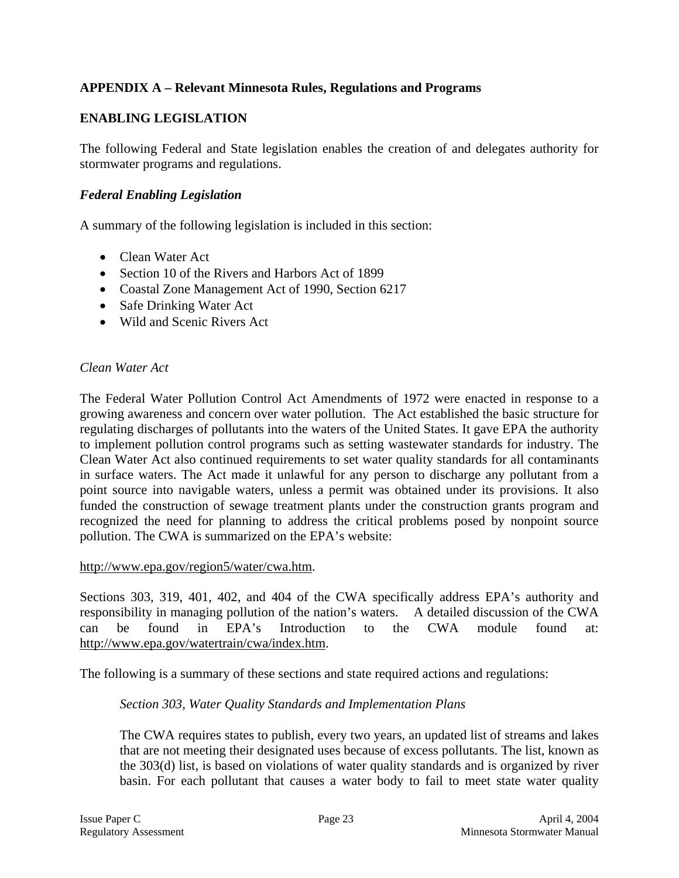# **APPENDIX A – Relevant Minnesota Rules, Regulations and Programs**

### **ENABLING LEGISLATION**

The following Federal and State legislation enables the creation of and delegates authority for stormwater programs and regulations.

### *Federal Enabling Legislation*

A summary of the following legislation is included in this section:

- Clean Water Act
- Section 10 of the Rivers and Harbors Act of 1899
- Coastal Zone Management Act of 1990, Section 6217
- Safe Drinking Water Act
- Wild and Scenic Rivers Act

#### *Clean Water Act*

The Federal Water Pollution Control Act Amendments of 1972 were enacted in response to a growing awareness and concern over water pollution. The Act established the basic structure for regulating discharges of pollutants into the waters of the United States. It gave EPA the authority to implement pollution control programs such as setting wastewater standards for industry. The Clean Water Act also continued requirements to set water quality standards for all contaminants in surface waters. The Act made it unlawful for any person to discharge any pollutant from a point source into navigable waters, unless a permit was obtained under its provisions. It also funded the construction of sewage treatment plants under the construction grants program and recognized the need for planning to address the critical problems posed by nonpoint source pollution. The CWA is summarized on the EPA's website:

#### http://www.epa.gov/region5/water/cwa.htm.

Sections 303, 319, 401, 402, and 404 of the CWA specifically address EPA's authority and responsibility in managing pollution of the nation's waters. A detailed discussion of the CWA can be found in EPA's Introduction to the CWA module found at: http://www.epa.gov/watertrain/cwa/index.htm.

The following is a summary of these sections and state required actions and regulations:

#### *Section 303, Water Quality Standards and Implementation Plans*

The CWA requires states to publish, every two years, an updated list of streams and lakes that are not meeting their designated uses because of excess pollutants. The list, known as the 303(d) list, is based on violations of water quality standards and is organized by river basin. For each pollutant that causes a water body to fail to meet state water quality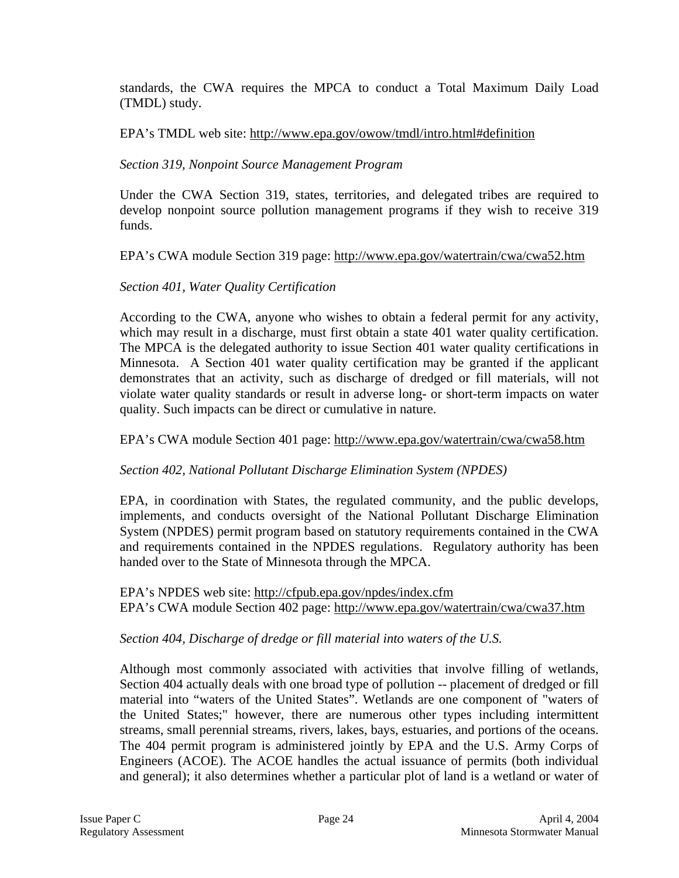standards, the CWA requires the MPCA to conduct a Total Maximum Daily Load (TMDL) study.

### EPA's TMDL web site: http://www.epa.gov/owow/tmdl/intro.html#definition

### *Section 319, Nonpoint Source Management Program*

Under the CWA Section 319, states, territories, and delegated tribes are required to develop nonpoint source pollution management programs if they wish to receive 319 funds.

### EPA's CWA module Section 319 page: http://www.epa.gov/watertrain/cwa/cwa52.htm

### *Section 401, Water Quality Certification*

According to the CWA, anyone who wishes to obtain a federal permit for any activity, which may result in a discharge, must first obtain a state 401 water quality certification. The MPCA is the delegated authority to issue Section 401 water quality certifications in Minnesota. A Section 401 water quality certification may be granted if the applicant demonstrates that an activity, such as discharge of dredged or fill materials, will not violate water quality standards or result in adverse long- or short-term impacts on water quality. Such impacts can be direct or cumulative in nature.

### EPA's CWA module Section 401 page: http://www.epa.gov/watertrain/cwa/cwa58.htm

### *Section 402, National Pollutant Discharge Elimination System (NPDES)*

EPA, in coordination with States, the regulated community, and the public develops, implements, and conducts oversight of the National Pollutant Discharge Elimination System (NPDES) permit program based on statutory requirements contained in the CWA and requirements contained in the NPDES regulations. Regulatory authority has been handed over to the State of Minnesota through the MPCA.

EPA's NPDES web site: http://cfpub.epa.gov/npdes/index.cfm EPA's CWA module Section 402 page: http://www.epa.gov/watertrain/cwa/cwa37.htm

### *Section 404, Discharge of dredge or fill material into waters of the U.S.*

Although most commonly associated with activities that involve filling of wetlands, Section 404 actually deals with one broad type of pollution -- placement of dredged or fill material into "waters of the United States". Wetlands are one component of "waters of the United States;" however, there are numerous other types including intermittent streams, small perennial streams, rivers, lakes, bays, estuaries, and portions of the oceans. The 404 permit program is administered jointly by EPA and the U.S. Army Corps of Engineers (ACOE). The ACOE handles the actual issuance of permits (both individual and general); it also determines whether a particular plot of land is a wetland or water of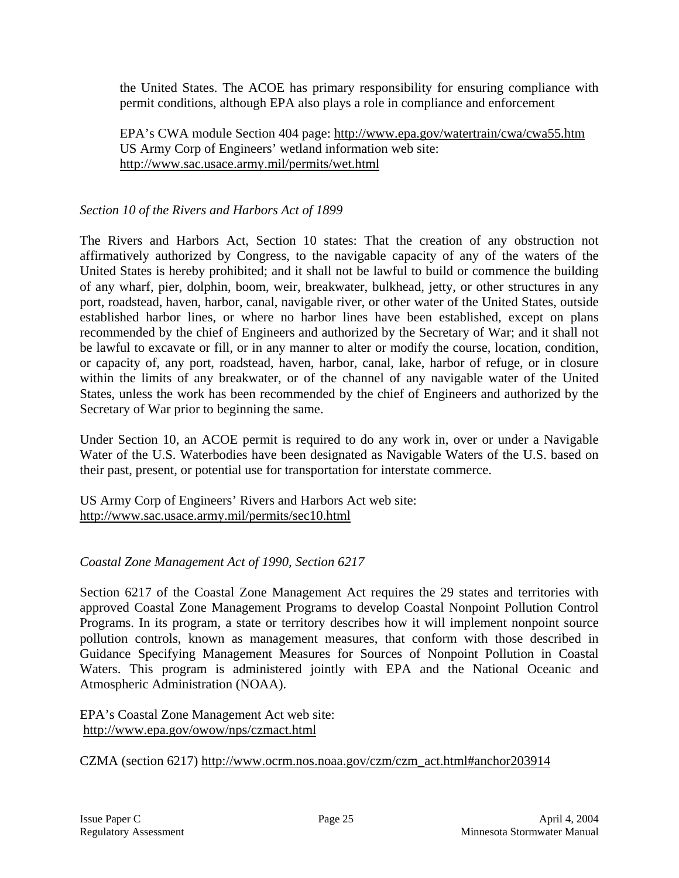the United States. The ACOE has primary responsibility for ensuring compliance with permit conditions, although EPA also plays a role in compliance and enforcement

EPA's CWA module Section 404 page: http://www.epa.gov/watertrain/cwa/cwa55.htm US Army Corp of Engineers' wetland information web site: http://www.sac.usace.army.mil/permits/wet.html

### *Section 10 of the Rivers and Harbors Act of 1899*

The Rivers and Harbors Act, Section 10 states: That the creation of any obstruction not affirmatively authorized by Congress, to the navigable capacity of any of the waters of the United States is hereby prohibited; and it shall not be lawful to build or commence the building of any wharf, pier, dolphin, boom, weir, breakwater, bulkhead, jetty, or other structures in any port, roadstead, haven, harbor, canal, navigable river, or other water of the United States, outside established harbor lines, or where no harbor lines have been established, except on plans recommended by the chief of Engineers and authorized by the Secretary of War; and it shall not be lawful to excavate or fill, or in any manner to alter or modify the course, location, condition, or capacity of, any port, roadstead, haven, harbor, canal, lake, harbor of refuge, or in closure within the limits of any breakwater, or of the channel of any navigable water of the United States, unless the work has been recommended by the chief of Engineers and authorized by the Secretary of War prior to beginning the same.

Under Section 10, an ACOE permit is required to do any work in, over or under a Navigable Water of the U.S. Waterbodies have been designated as Navigable Waters of the U.S. based on their past, present, or potential use for transportation for interstate commerce.

US Army Corp of Engineers' Rivers and Harbors Act web site: http://www.sac.usace.army.mil/permits/sec10.html

### *Coastal Zone Management Act of 1990, Section 6217*

Section 6217 of the Coastal Zone Management Act requires the 29 states and territories with approved Coastal Zone Management Programs to develop Coastal Nonpoint Pollution Control Programs. In its program, a state or territory describes how it will implement nonpoint source pollution controls, known as management measures, that conform with those described in Guidance Specifying Management Measures for Sources of Nonpoint Pollution in Coastal Waters. This program is administered jointly with EPA and the National Oceanic and Atmospheric Administration (NOAA).

EPA's Coastal Zone Management Act web site: http://www.epa.gov/owow/nps/czmact.html

CZMA (section 6217) http://www.ocrm.nos.noaa.gov/czm/czm\_act.html#anchor203914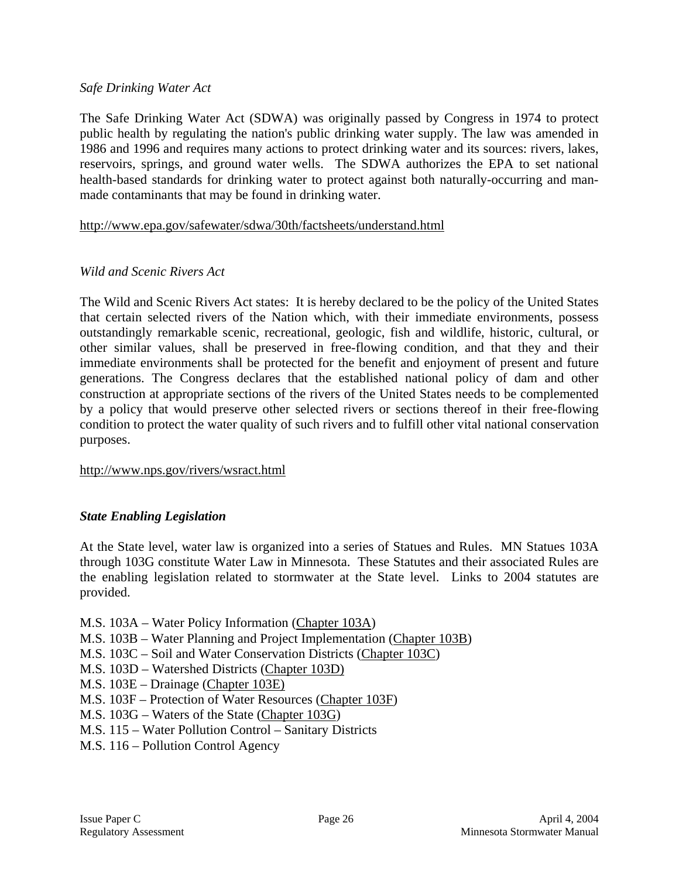### *Safe Drinking Water Act*

The Safe Drinking Water Act (SDWA) was originally passed by Congress in 1974 to protect public health by regulating the nation's public drinking water supply. The law was amended in 1986 and 1996 and requires many actions to protect drinking water and its sources: rivers, lakes, reservoirs, springs, and ground water wells. The SDWA authorizes the EPA to set national health-based standards for drinking water to protect against both naturally-occurring and manmade contaminants that may be found in drinking water.

### http://www.epa.gov/safewater/sdwa/30th/factsheets/understand.html

### *Wild and Scenic Rivers Act*

The Wild and Scenic Rivers Act states: It is hereby declared to be the policy of the United States that certain selected rivers of the Nation which, with their immediate environments, possess outstandingly remarkable scenic, recreational, geologic, fish and wildlife, historic, cultural, or other similar values, shall be preserved in free-flowing condition, and that they and their immediate environments shall be protected for the benefit and enjoyment of present and future generations. The Congress declares that the established national policy of dam and other construction at appropriate sections of the rivers of the United States needs to be complemented by a policy that would preserve other selected rivers or sections thereof in their free-flowing condition to protect the water quality of such rivers and to fulfill other vital national conservation purposes.

#### http://www.nps.gov/rivers/wsract.html

### *State Enabling Legislation*

At the State level, water law is organized into a series of Statues and Rules. MN Statues 103A through 103G constitute Water Law in Minnesota. These Statutes and their associated Rules are the enabling legislation related to stormwater at the State level. Links to 2004 statutes are provided.

- M.S. 103A Water Policy Information (Chapter 103A)
- M.S. 103B Water Planning and Project Implementation (Chapter 103B)
- M.S. 103C Soil and Water Conservation Districts (Chapter 103C)
- M.S. 103D Watershed Districts (Chapter 103D)
- M.S. 103E Drainage (Chapter 103E)
- M.S. 103F Protection of Water Resources (Chapter 103F)
- M.S. 103G Waters of the State (Chapter 103G)
- M.S. 115 Water Pollution Control Sanitary Districts
- M.S. 116 Pollution Control Agency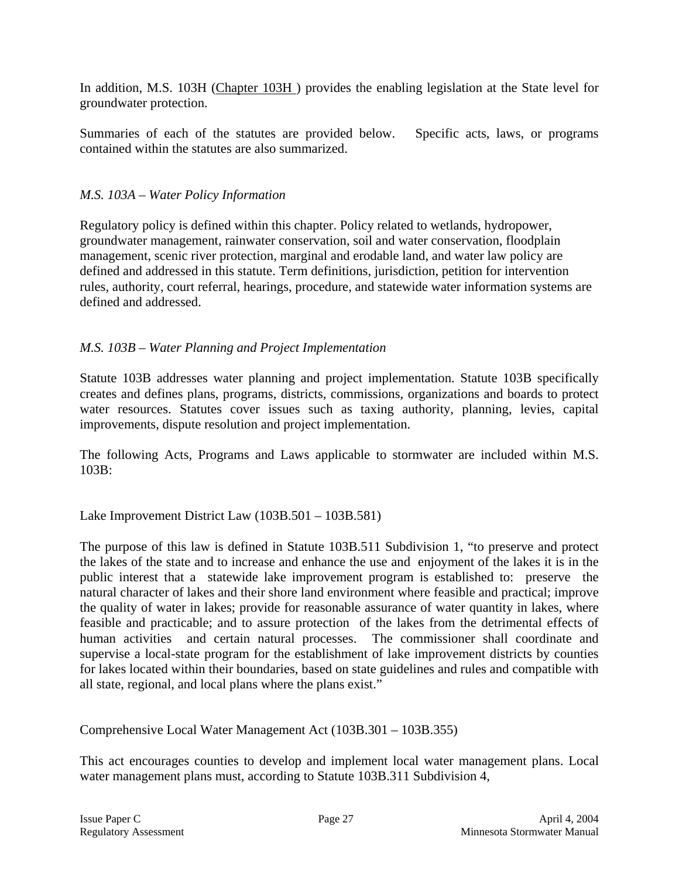In addition, M.S. 103H (Chapter 103H) provides the enabling legislation at the State level for groundwater protection.

Summaries of each of the statutes are provided below. Specific acts, laws, or programs contained within the statutes are also summarized.

### *M.S. 103A – Water Policy Information*

Regulatory policy is defined within this chapter. Policy related to wetlands, hydropower, groundwater management, rainwater conservation, soil and water conservation, floodplain management, scenic river protection, marginal and erodable land, and water law policy are defined and addressed in this statute. Term definitions, jurisdiction, petition for intervention rules, authority, court referral, hearings, procedure, and statewide water information systems are defined and addressed.

# *M.S. 103B – Water Planning and Project Implementation*

Statute 103B addresses water planning and project implementation. Statute 103B specifically creates and defines plans, programs, districts, commissions, organizations and boards to protect water resources. Statutes cover issues such as taxing authority, planning, levies, capital improvements, dispute resolution and project implementation.

The following Acts, Programs and Laws applicable to stormwater are included within M.S. 103B:

### Lake Improvement District Law (103B.501 – 103B.581)

The purpose of this law is defined in Statute 103B.511 Subdivision 1, "to preserve and protect the lakes of the state and to increase and enhance the use and enjoyment of the lakes it is in the public interest that a statewide lake improvement program is established to: preserve the natural character of lakes and their shore land environment where feasible and practical; improve the quality of water in lakes; provide for reasonable assurance of water quantity in lakes, where feasible and practicable; and to assure protection of the lakes from the detrimental effects of human activities and certain natural processes. The commissioner shall coordinate and supervise a local-state program for the establishment of lake improvement districts by counties for lakes located within their boundaries, based on state guidelines and rules and compatible with all state, regional, and local plans where the plans exist."

Comprehensive Local Water Management Act (103B.301 – 103B.355)

This act encourages counties to develop and implement local water management plans. Local water management plans must, according to Statute 103B.311 Subdivision 4,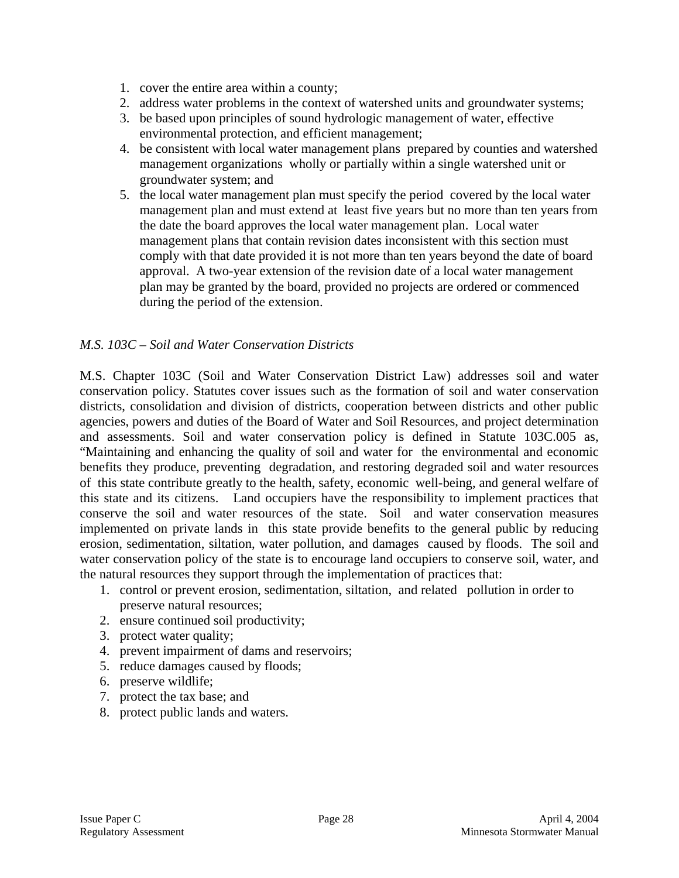- 1. cover the entire area within a county;
- 2. address water problems in the context of watershed units and groundwater systems;
- 3. be based upon principles of sound hydrologic management of water, effective environmental protection, and efficient management;
- 4. be consistent with local water management plans prepared by counties and watershed management organizations wholly or partially within a single watershed unit or groundwater system; and
- 5. the local water management plan must specify the period covered by the local water management plan and must extend at least five years but no more than ten years from the date the board approves the local water management plan. Local water management plans that contain revision dates inconsistent with this section must comply with that date provided it is not more than ten years beyond the date of board approval. A two-year extension of the revision date of a local water management plan may be granted by the board, provided no projects are ordered or commenced during the period of the extension.

### *M.S. 103C – Soil and Water Conservation Districts*

M.S. Chapter 103C (Soil and Water Conservation District Law) addresses soil and water conservation policy. Statutes cover issues such as the formation of soil and water conservation districts, consolidation and division of districts, cooperation between districts and other public agencies, powers and duties of the Board of Water and Soil Resources, and project determination and assessments. Soil and water conservation policy is defined in Statute 103C.005 as, "Maintaining and enhancing the quality of soil and water for the environmental and economic benefits they produce, preventing degradation, and restoring degraded soil and water resources of this state contribute greatly to the health, safety, economic well-being, and general welfare of this state and its citizens. Land occupiers have the responsibility to implement practices that conserve the soil and water resources of the state. Soil and water conservation measures implemented on private lands in this state provide benefits to the general public by reducing erosion, sedimentation, siltation, water pollution, and damages caused by floods. The soil and water conservation policy of the state is to encourage land occupiers to conserve soil, water, and the natural resources they support through the implementation of practices that:

- 1. control or prevent erosion, sedimentation, siltation, and related pollution in order to preserve natural resources;
- 2. ensure continued soil productivity;
- 3. protect water quality;
- 4. prevent impairment of dams and reservoirs;
- 5. reduce damages caused by floods;
- 6. preserve wildlife;
- 7. protect the tax base; and
- 8. protect public lands and waters.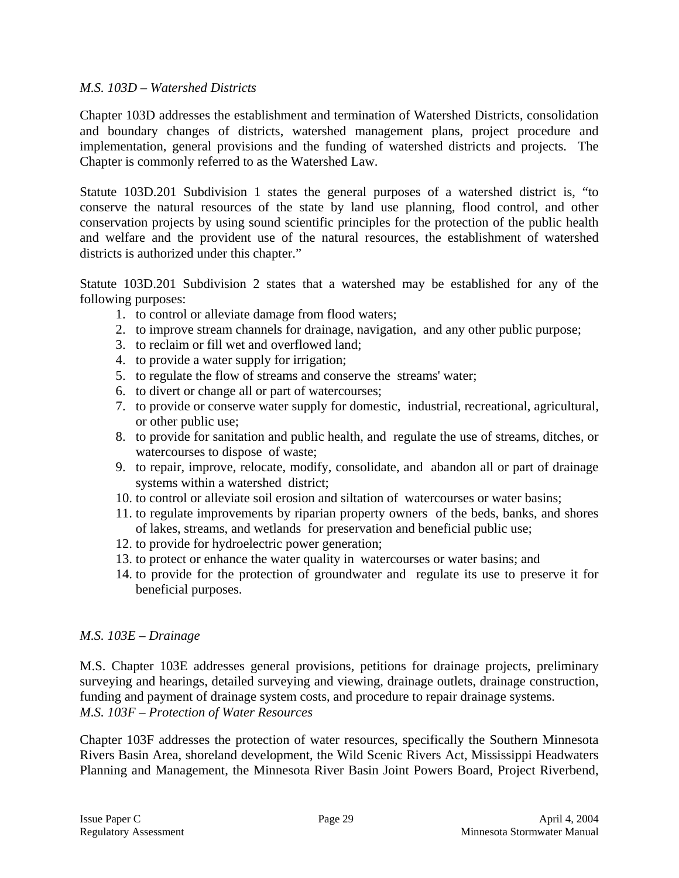### *M.S. 103D – Watershed Districts*

Chapter 103D addresses the establishment and termination of Watershed Districts, consolidation and boundary changes of districts, watershed management plans, project procedure and implementation, general provisions and the funding of watershed districts and projects. The Chapter is commonly referred to as the Watershed Law.

Statute 103D.201 Subdivision 1 states the general purposes of a watershed district is, "to conserve the natural resources of the state by land use planning, flood control, and other conservation projects by using sound scientific principles for the protection of the public health and welfare and the provident use of the natural resources, the establishment of watershed districts is authorized under this chapter."

Statute 103D.201 Subdivision 2 states that a watershed may be established for any of the following purposes:

- 1. to control or alleviate damage from flood waters;
- 2. to improve stream channels for drainage, navigation, and any other public purpose;
- 3. to reclaim or fill wet and overflowed land;
- 4. to provide a water supply for irrigation;
- 5. to regulate the flow of streams and conserve the streams' water;
- 6. to divert or change all or part of watercourses;
- 7. to provide or conserve water supply for domestic, industrial, recreational, agricultural, or other public use;
- 8. to provide for sanitation and public health, and regulate the use of streams, ditches, or watercourses to dispose of waste;
- 9. to repair, improve, relocate, modify, consolidate, and abandon all or part of drainage systems within a watershed district;
- 10. to control or alleviate soil erosion and siltation of watercourses or water basins;
- 11. to regulate improvements by riparian property owners of the beds, banks, and shores of lakes, streams, and wetlands for preservation and beneficial public use;
- 12. to provide for hydroelectric power generation;
- 13. to protect or enhance the water quality in watercourses or water basins; and
- 14. to provide for the protection of groundwater and regulate its use to preserve it for beneficial purposes.

#### *M.S. 103E – Drainage*

M.S. Chapter 103E addresses general provisions, petitions for drainage projects, preliminary surveying and hearings, detailed surveying and viewing, drainage outlets, drainage construction, funding and payment of drainage system costs, and procedure to repair drainage systems. *M.S. 103F – Protection of Water Resources* 

Chapter 103F addresses the protection of water resources, specifically the Southern Minnesota Rivers Basin Area, shoreland development, the Wild Scenic Rivers Act, Mississippi Headwaters Planning and Management, the Minnesota River Basin Joint Powers Board, Project Riverbend,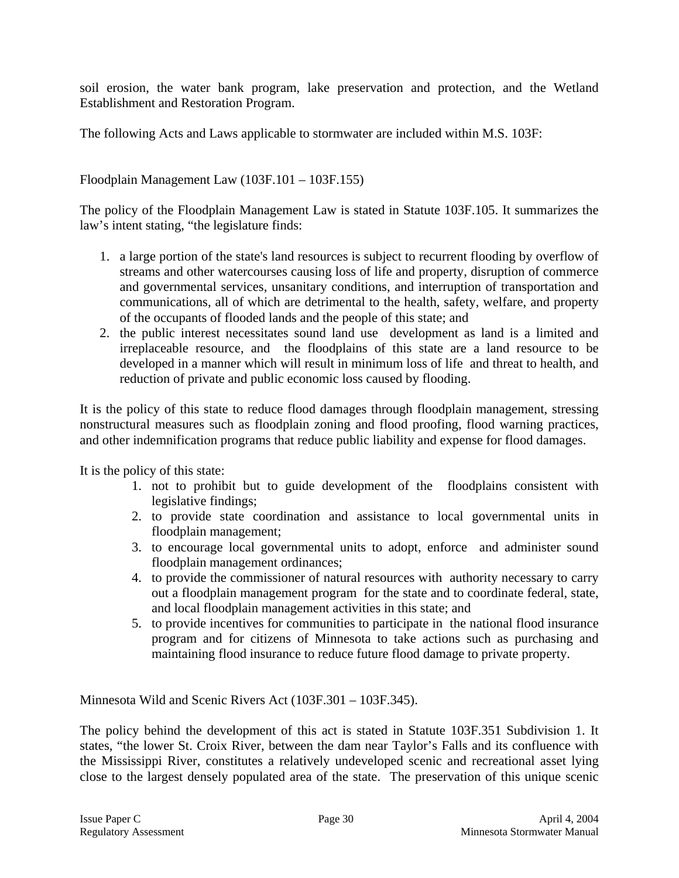soil erosion, the water bank program, lake preservation and protection, and the Wetland Establishment and Restoration Program.

The following Acts and Laws applicable to stormwater are included within M.S. 103F:

Floodplain Management Law (103F.101 – 103F.155)

The policy of the Floodplain Management Law is stated in Statute 103F.105. It summarizes the law's intent stating, "the legislature finds:

- 1. a large portion of the state's land resources is subject to recurrent flooding by overflow of streams and other watercourses causing loss of life and property, disruption of commerce and governmental services, unsanitary conditions, and interruption of transportation and communications, all of which are detrimental to the health, safety, welfare, and property of the occupants of flooded lands and the people of this state; and
- 2. the public interest necessitates sound land use development as land is a limited and irreplaceable resource, and the floodplains of this state are a land resource to be developed in a manner which will result in minimum loss of life and threat to health, and reduction of private and public economic loss caused by flooding.

It is the policy of this state to reduce flood damages through floodplain management, stressing nonstructural measures such as floodplain zoning and flood proofing, flood warning practices, and other indemnification programs that reduce public liability and expense for flood damages.

It is the policy of this state:

- 1. not to prohibit but to guide development of the floodplains consistent with legislative findings;
- 2. to provide state coordination and assistance to local governmental units in floodplain management;
- 3. to encourage local governmental units to adopt, enforce and administer sound floodplain management ordinances;
- 4. to provide the commissioner of natural resources with authority necessary to carry out a floodplain management program for the state and to coordinate federal, state, and local floodplain management activities in this state; and
- 5. to provide incentives for communities to participate in the national flood insurance program and for citizens of Minnesota to take actions such as purchasing and maintaining flood insurance to reduce future flood damage to private property.

Minnesota Wild and Scenic Rivers Act (103F.301 – 103F.345).

The policy behind the development of this act is stated in Statute 103F.351 Subdivision 1. It states, "the lower St. Croix River, between the dam near Taylor's Falls and its confluence with the Mississippi River, constitutes a relatively undeveloped scenic and recreational asset lying close to the largest densely populated area of the state. The preservation of this unique scenic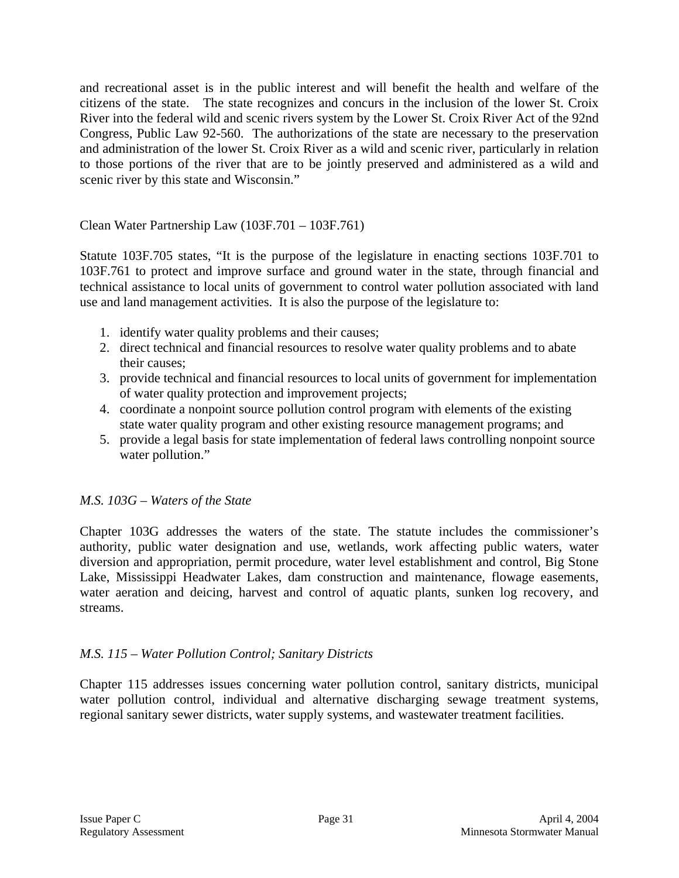and recreational asset is in the public interest and will benefit the health and welfare of the citizens of the state. The state recognizes and concurs in the inclusion of the lower St. Croix River into the federal wild and scenic rivers system by the Lower St. Croix River Act of the 92nd Congress, Public Law 92-560. The authorizations of the state are necessary to the preservation and administration of the lower St. Croix River as a wild and scenic river, particularly in relation to those portions of the river that are to be jointly preserved and administered as a wild and scenic river by this state and Wisconsin."

Clean Water Partnership Law (103F.701 – 103F.761)

Statute 103F.705 states, "It is the purpose of the legislature in enacting sections 103F.701 to 103F.761 to protect and improve surface and ground water in the state, through financial and technical assistance to local units of government to control water pollution associated with land use and land management activities. It is also the purpose of the legislature to:

- 1. identify water quality problems and their causes;
- 2. direct technical and financial resources to resolve water quality problems and to abate their causes;
- 3. provide technical and financial resources to local units of government for implementation of water quality protection and improvement projects;
- 4. coordinate a nonpoint source pollution control program with elements of the existing state water quality program and other existing resource management programs; and
- 5. provide a legal basis for state implementation of federal laws controlling nonpoint source water pollution."

# *M.S. 103G – Waters of the State*

Chapter 103G addresses the waters of the state. The statute includes the commissioner's authority, public water designation and use, wetlands, work affecting public waters, water diversion and appropriation, permit procedure, water level establishment and control, Big Stone Lake, Mississippi Headwater Lakes, dam construction and maintenance, flowage easements, water aeration and deicing, harvest and control of aquatic plants, sunken log recovery, and streams.

### *M.S. 115 – Water Pollution Control; Sanitary Districts*

Chapter 115 addresses issues concerning water pollution control, sanitary districts, municipal water pollution control, individual and alternative discharging sewage treatment systems, regional sanitary sewer districts, water supply systems, and wastewater treatment facilities.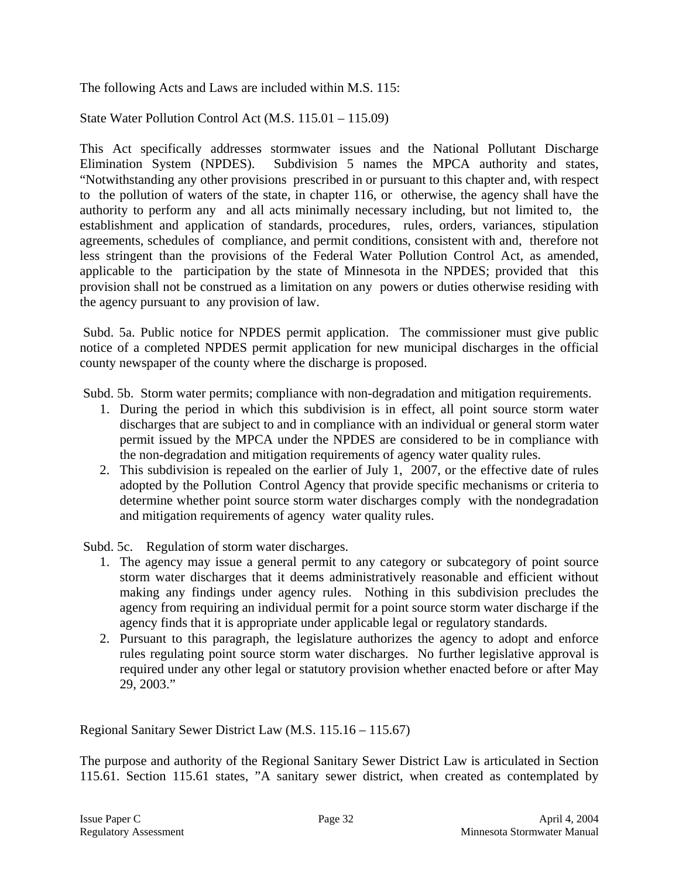The following Acts and Laws are included within M.S. 115:

State Water Pollution Control Act (M.S. 115.01 – 115.09)

This Act specifically addresses stormwater issues and the National Pollutant Discharge Elimination System (NPDES). Subdivision 5 names the MPCA authority and states, "Notwithstanding any other provisions prescribed in or pursuant to this chapter and, with respect to the pollution of waters of the state, in chapter 116, or otherwise, the agency shall have the authority to perform any and all acts minimally necessary including, but not limited to, the establishment and application of standards, procedures, rules, orders, variances, stipulation agreements, schedules of compliance, and permit conditions, consistent with and, therefore not less stringent than the provisions of the Federal Water Pollution Control Act, as amended, applicable to the participation by the state of Minnesota in the NPDES; provided that this provision shall not be construed as a limitation on any powers or duties otherwise residing with the agency pursuant to any provision of law.

 Subd. 5a. Public notice for NPDES permit application. The commissioner must give public notice of a completed NPDES permit application for new municipal discharges in the official county newspaper of the county where the discharge is proposed.

Subd. 5b. Storm water permits; compliance with non-degradation and mitigation requirements.

- 1. During the period in which this subdivision is in effect, all point source storm water discharges that are subject to and in compliance with an individual or general storm water permit issued by the MPCA under the NPDES are considered to be in compliance with the non-degradation and mitigation requirements of agency water quality rules.
- 2. This subdivision is repealed on the earlier of July 1, 2007, or the effective date of rules adopted by the Pollution Control Agency that provide specific mechanisms or criteria to determine whether point source storm water discharges comply with the nondegradation and mitigation requirements of agency water quality rules.

Subd. 5c. Regulation of storm water discharges.

- 1. The agency may issue a general permit to any category or subcategory of point source storm water discharges that it deems administratively reasonable and efficient without making any findings under agency rules. Nothing in this subdivision precludes the agency from requiring an individual permit for a point source storm water discharge if the agency finds that it is appropriate under applicable legal or regulatory standards.
- 2. Pursuant to this paragraph, the legislature authorizes the agency to adopt and enforce rules regulating point source storm water discharges. No further legislative approval is required under any other legal or statutory provision whether enacted before or after May 29, 2003."

Regional Sanitary Sewer District Law (M.S. 115.16 – 115.67)

The purpose and authority of the Regional Sanitary Sewer District Law is articulated in Section 115.61. Section 115.61 states, "A sanitary sewer district, when created as contemplated by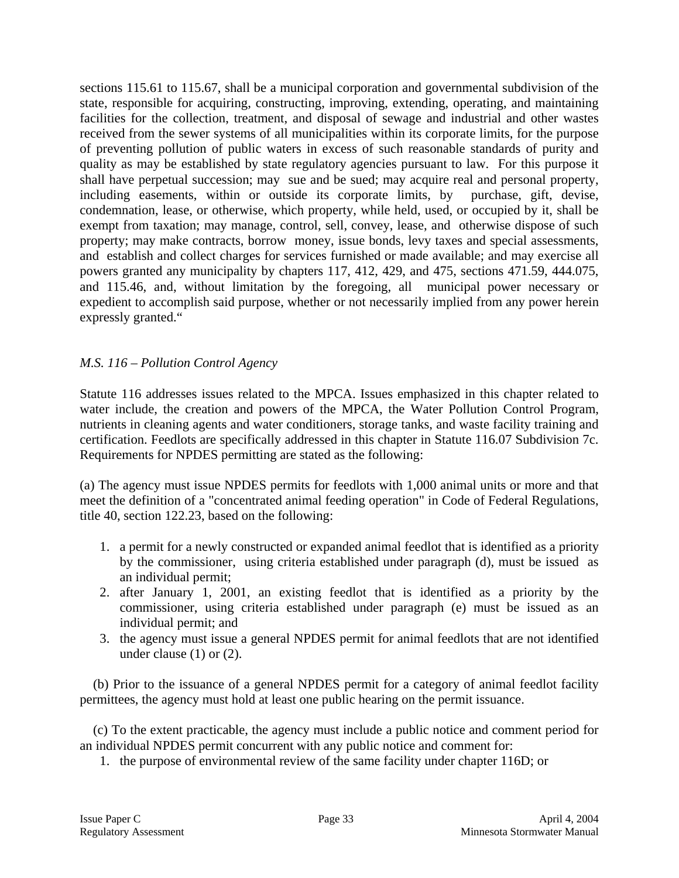sections 115.61 to 115.67, shall be a municipal corporation and governmental subdivision of the state, responsible for acquiring, constructing, improving, extending, operating, and maintaining facilities for the collection, treatment, and disposal of sewage and industrial and other wastes received from the sewer systems of all municipalities within its corporate limits, for the purpose of preventing pollution of public waters in excess of such reasonable standards of purity and quality as may be established by state regulatory agencies pursuant to law. For this purpose it shall have perpetual succession; may sue and be sued; may acquire real and personal property, including easements, within or outside its corporate limits, by purchase, gift, devise, condemnation, lease, or otherwise, which property, while held, used, or occupied by it, shall be exempt from taxation; may manage, control, sell, convey, lease, and otherwise dispose of such property; may make contracts, borrow money, issue bonds, levy taxes and special assessments, and establish and collect charges for services furnished or made available; and may exercise all powers granted any municipality by chapters 117, 412, 429, and 475, sections 471.59, 444.075, and 115.46, and, without limitation by the foregoing, all municipal power necessary or expedient to accomplish said purpose, whether or not necessarily implied from any power herein expressly granted."

### *M.S. 116 – Pollution Control Agency*

Statute 116 addresses issues related to the MPCA. Issues emphasized in this chapter related to water include, the creation and powers of the MPCA, the Water Pollution Control Program, nutrients in cleaning agents and water conditioners, storage tanks, and waste facility training and certification. Feedlots are specifically addressed in this chapter in Statute 116.07 Subdivision 7c. Requirements for NPDES permitting are stated as the following:

(a) The agency must issue NPDES permits for feedlots with 1,000 animal units or more and that meet the definition of a "concentrated animal feeding operation" in Code of Federal Regulations, title 40, section 122.23, based on the following:

- 1. a permit for a newly constructed or expanded animal feedlot that is identified as a priority by the commissioner, using criteria established under paragraph (d), must be issued as an individual permit;
- 2. after January 1, 2001, an existing feedlot that is identified as a priority by the commissioner, using criteria established under paragraph (e) must be issued as an individual permit; and
- 3. the agency must issue a general NPDES permit for animal feedlots that are not identified under clause (1) or (2).

 (b) Prior to the issuance of a general NPDES permit for a category of animal feedlot facility permittees, the agency must hold at least one public hearing on the permit issuance.

 (c) To the extent practicable, the agency must include a public notice and comment period for an individual NPDES permit concurrent with any public notice and comment for:

1. the purpose of environmental review of the same facility under chapter 116D; or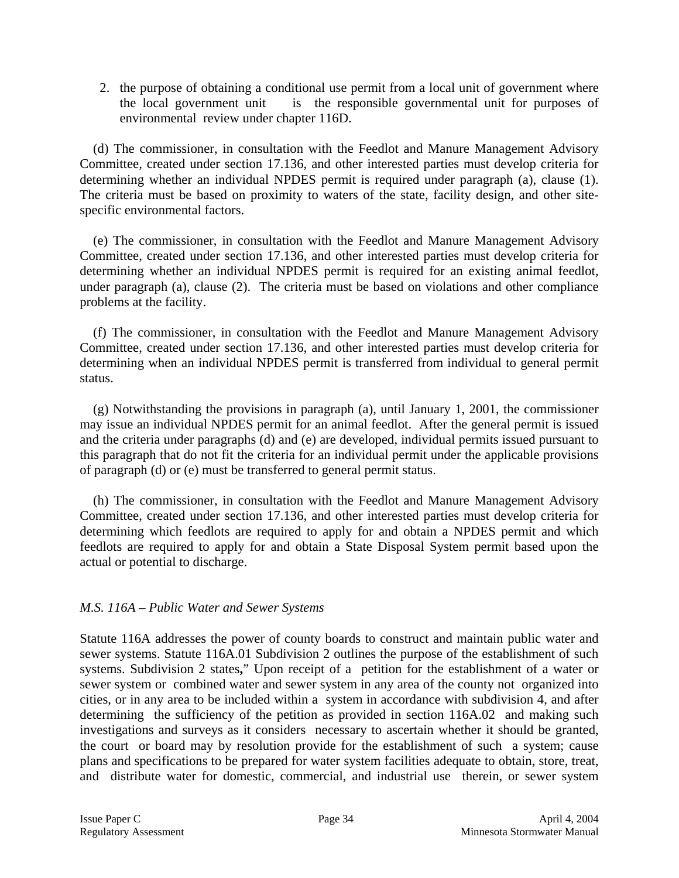2. the purpose of obtaining a conditional use permit from a local unit of government where the local government unit is the responsible governmental unit for purposes of environmental review under chapter 116D.

 (d) The commissioner, in consultation with the Feedlot and Manure Management Advisory Committee, created under section 17.136, and other interested parties must develop criteria for determining whether an individual NPDES permit is required under paragraph (a), clause (1). The criteria must be based on proximity to waters of the state, facility design, and other sitespecific environmental factors.

 (e) The commissioner, in consultation with the Feedlot and Manure Management Advisory Committee, created under section 17.136, and other interested parties must develop criteria for determining whether an individual NPDES permit is required for an existing animal feedlot, under paragraph (a), clause (2). The criteria must be based on violations and other compliance problems at the facility.

 (f) The commissioner, in consultation with the Feedlot and Manure Management Advisory Committee, created under section 17.136, and other interested parties must develop criteria for determining when an individual NPDES permit is transferred from individual to general permit status.

 (g) Notwithstanding the provisions in paragraph (a), until January 1, 2001, the commissioner may issue an individual NPDES permit for an animal feedlot. After the general permit is issued and the criteria under paragraphs (d) and (e) are developed, individual permits issued pursuant to this paragraph that do not fit the criteria for an individual permit under the applicable provisions of paragraph (d) or (e) must be transferred to general permit status.

 (h) The commissioner, in consultation with the Feedlot and Manure Management Advisory Committee, created under section 17.136, and other interested parties must develop criteria for determining which feedlots are required to apply for and obtain a NPDES permit and which feedlots are required to apply for and obtain a State Disposal System permit based upon the actual or potential to discharge.

### *M.S. 116A – Public Water and Sewer Systems*

Statute 116A addresses the power of county boards to construct and maintain public water and sewer systems. Statute 116A.01 Subdivision 2 outlines the purpose of the establishment of such systems. Subdivision 2 states**,**" Upon receipt of a petition for the establishment of a water or sewer system or combined water and sewer system in any area of the county not organized into cities, or in any area to be included within a system in accordance with subdivision 4, and after determining the sufficiency of the petition as provided in section 116A.02 and making such investigations and surveys as it considers necessary to ascertain whether it should be granted, the court or board may by resolution provide for the establishment of such a system; cause plans and specifications to be prepared for water system facilities adequate to obtain, store, treat, and distribute water for domestic, commercial, and industrial use therein, or sewer system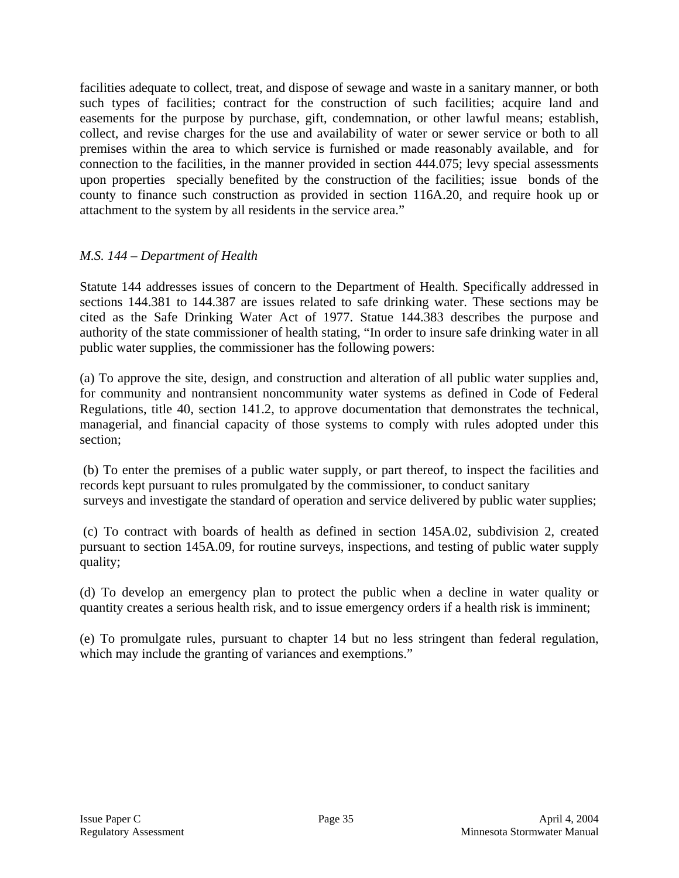facilities adequate to collect, treat, and dispose of sewage and waste in a sanitary manner, or both such types of facilities; contract for the construction of such facilities; acquire land and easements for the purpose by purchase, gift, condemnation, or other lawful means; establish, collect, and revise charges for the use and availability of water or sewer service or both to all premises within the area to which service is furnished or made reasonably available, and for connection to the facilities, in the manner provided in section 444.075; levy special assessments upon properties specially benefited by the construction of the facilities; issue bonds of the county to finance such construction as provided in section 116A.20, and require hook up or attachment to the system by all residents in the service area."

### *M.S. 144 – Department of Health*

Statute 144 addresses issues of concern to the Department of Health. Specifically addressed in sections 144.381 to 144.387 are issues related to safe drinking water. These sections may be cited as the Safe Drinking Water Act of 1977. Statue 144.383 describes the purpose and authority of the state commissioner of health stating, "In order to insure safe drinking water in all public water supplies, the commissioner has the following powers:

(a) To approve the site, design, and construction and alteration of all public water supplies and, for community and nontransient noncommunity water systems as defined in Code of Federal Regulations, title 40, section 141.2, to approve documentation that demonstrates the technical, managerial, and financial capacity of those systems to comply with rules adopted under this section;

 (b) To enter the premises of a public water supply, or part thereof, to inspect the facilities and records kept pursuant to rules promulgated by the commissioner, to conduct sanitary surveys and investigate the standard of operation and service delivered by public water supplies;

 (c) To contract with boards of health as defined in section 145A.02, subdivision 2, created pursuant to section 145A.09, for routine surveys, inspections, and testing of public water supply quality;

(d) To develop an emergency plan to protect the public when a decline in water quality or quantity creates a serious health risk, and to issue emergency orders if a health risk is imminent;

(e) To promulgate rules, pursuant to chapter 14 but no less stringent than federal regulation, which may include the granting of variances and exemptions."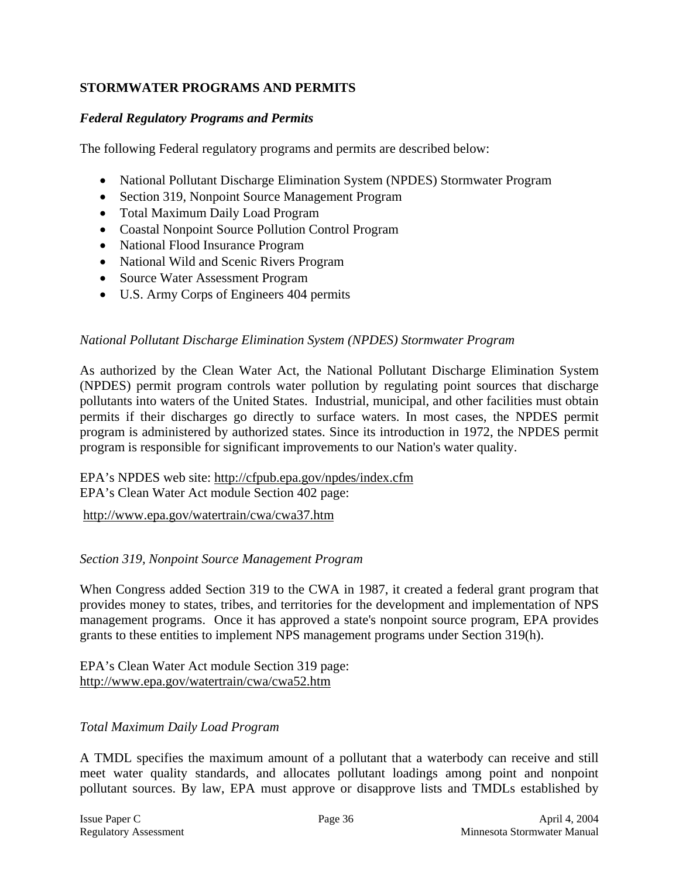# **STORMWATER PROGRAMS AND PERMITS**

### *Federal Regulatory Programs and Permits*

The following Federal regulatory programs and permits are described below:

- National Pollutant Discharge Elimination System (NPDES) Stormwater Program
- Section 319, Nonpoint Source Management Program
- Total Maximum Daily Load Program
- Coastal Nonpoint Source Pollution Control Program
- National Flood Insurance Program
- National Wild and Scenic Rivers Program
- Source Water Assessment Program
- U.S. Army Corps of Engineers 404 permits

#### *National Pollutant Discharge Elimination System (NPDES) Stormwater Program*

As authorized by the Clean Water Act, the National Pollutant Discharge Elimination System (NPDES) permit program controls water pollution by regulating point sources that discharge pollutants into waters of the United States. Industrial, municipal, and other facilities must obtain permits if their discharges go directly to surface waters. In most cases, the NPDES permit program is administered by authorized states. Since its introduction in 1972, the NPDES permit program is responsible for significant improvements to our Nation's water quality.

### EPA's NPDES web site: http://cfpub.epa.gov/npdes/index.cfm EPA's Clean Water Act module Section 402 page:

http://www.epa.gov/watertrain/cwa/cwa37.htm

#### *Section 319, Nonpoint Source Management Program*

When Congress added Section 319 to the CWA in 1987, it created a federal grant program that provides money to states, tribes, and territories for the development and implementation of NPS management programs. Once it has approved a state's nonpoint source program, EPA provides grants to these entities to implement NPS management programs under Section 319(h).

EPA's Clean Water Act module Section 319 page: http://www.epa.gov/watertrain/cwa/cwa52.htm

#### *Total Maximum Daily Load Program*

A TMDL specifies the maximum amount of a pollutant that a waterbody can receive and still meet water quality standards, and allocates pollutant loadings among point and nonpoint pollutant sources. By law, EPA must approve or disapprove lists and TMDLs established by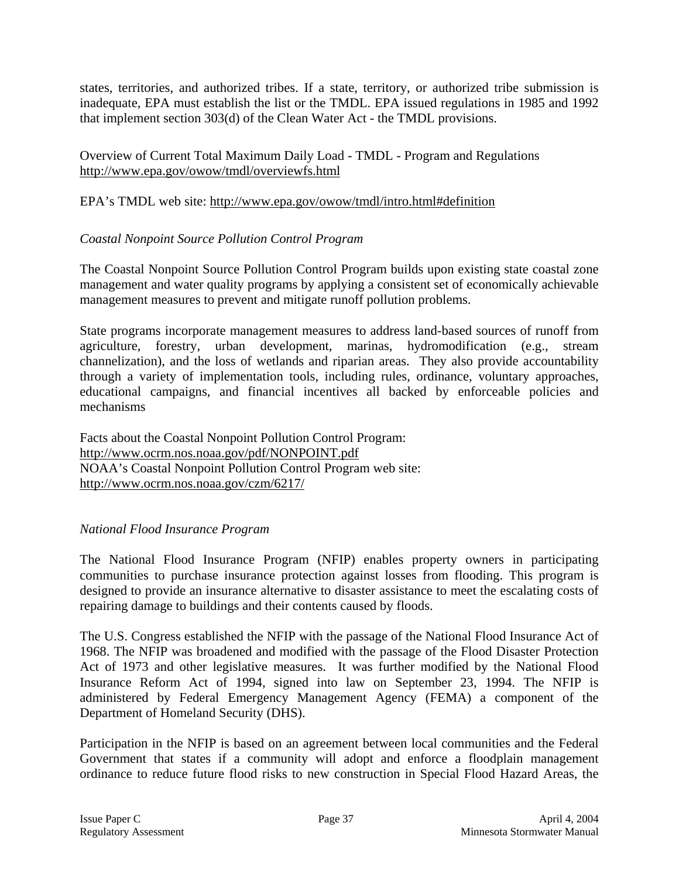states, territories, and authorized tribes. If a state, territory, or authorized tribe submission is inadequate, EPA must establish the list or the TMDL. EPA issued regulations in 1985 and 1992 that implement section 303(d) of the Clean Water Act - the TMDL provisions.

Overview of Current Total Maximum Daily Load - TMDL - Program and Regulations http://www.epa.gov/owow/tmdl/overviewfs.html

### EPA's TMDL web site: http://www.epa.gov/owow/tmdl/intro.html#definition

### *Coastal Nonpoint Source Pollution Control Program*

The Coastal Nonpoint Source Pollution Control Program builds upon existing state coastal zone management and water quality programs by applying a consistent set of economically achievable management measures to prevent and mitigate runoff pollution problems.

State programs incorporate management measures to address land-based sources of runoff from agriculture, forestry, urban development, marinas, hydromodification (e.g., stream channelization), and the loss of wetlands and riparian areas. They also provide accountability through a variety of implementation tools, including rules, ordinance, voluntary approaches, educational campaigns, and financial incentives all backed by enforceable policies and mechanisms

Facts about the Coastal Nonpoint Pollution Control Program: http://www.ocrm.nos.noaa.gov/pdf/NONPOINT.pdf NOAA's Coastal Nonpoint Pollution Control Program web site: http://www.ocrm.nos.noaa.gov/czm/6217/

### *National Flood Insurance Program*

The National Flood Insurance Program (NFIP) enables property owners in participating communities to purchase insurance protection against losses from flooding. This program is designed to provide an insurance alternative to disaster assistance to meet the escalating costs of repairing damage to buildings and their contents caused by floods.

The U.S. Congress established the NFIP with the passage of the National Flood Insurance Act of 1968. The NFIP was broadened and modified with the passage of the Flood Disaster Protection Act of 1973 and other legislative measures. It was further modified by the National Flood Insurance Reform Act of 1994, signed into law on September 23, 1994. The NFIP is administered by Federal Emergency Management Agency (FEMA) a component of the Department of Homeland Security (DHS).

Participation in the NFIP is based on an agreement between local communities and the Federal Government that states if a community will adopt and enforce a floodplain management ordinance to reduce future flood risks to new construction in Special Flood Hazard Areas, the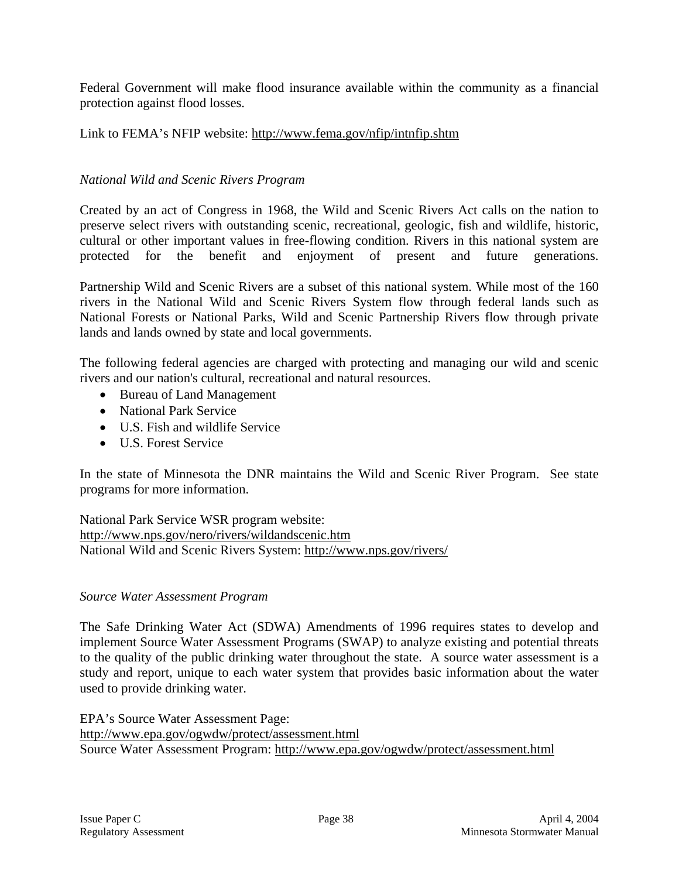Federal Government will make flood insurance available within the community as a financial protection against flood losses.

Link to FEMA's NFIP website: http://www.fema.gov/nfip/intnfip.shtm

### *National Wild and Scenic Rivers Program*

Created by an act of Congress in 1968, the Wild and Scenic Rivers Act calls on the nation to preserve select rivers with outstanding scenic, recreational, geologic, fish and wildlife, historic, cultural or other important values in free-flowing condition. Rivers in this national system are protected for the benefit and enjoyment of present and future generations.

Partnership Wild and Scenic Rivers are a subset of this national system. While most of the 160 rivers in the National Wild and Scenic Rivers System flow through federal lands such as National Forests or National Parks, Wild and Scenic Partnership Rivers flow through private lands and lands owned by state and local governments.

The following federal agencies are charged with protecting and managing our wild and scenic rivers and our nation's cultural, recreational and natural resources.

- Bureau of Land Management
- National Park Service
- U.S. Fish and wildlife Service
- U.S. Forest Service

In the state of Minnesota the DNR maintains the Wild and Scenic River Program. See state programs for more information.

National Park Service WSR program website: http://www.nps.gov/nero/rivers/wildandscenic.htm National Wild and Scenic Rivers System: http://www.nps.gov/rivers/

### *Source Water Assessment Program*

The Safe Drinking Water Act (SDWA) Amendments of 1996 requires states to develop and implement Source Water Assessment Programs (SWAP) to analyze existing and potential threats to the quality of the public drinking water throughout the state. A source water assessment is a study and report, unique to each water system that provides basic information about the water used to provide drinking water.

EPA's Source Water Assessment Page: http://www.epa.gov/ogwdw/protect/assessment.html Source Water Assessment Program: http://www.epa.gov/ogwdw/protect/assessment.html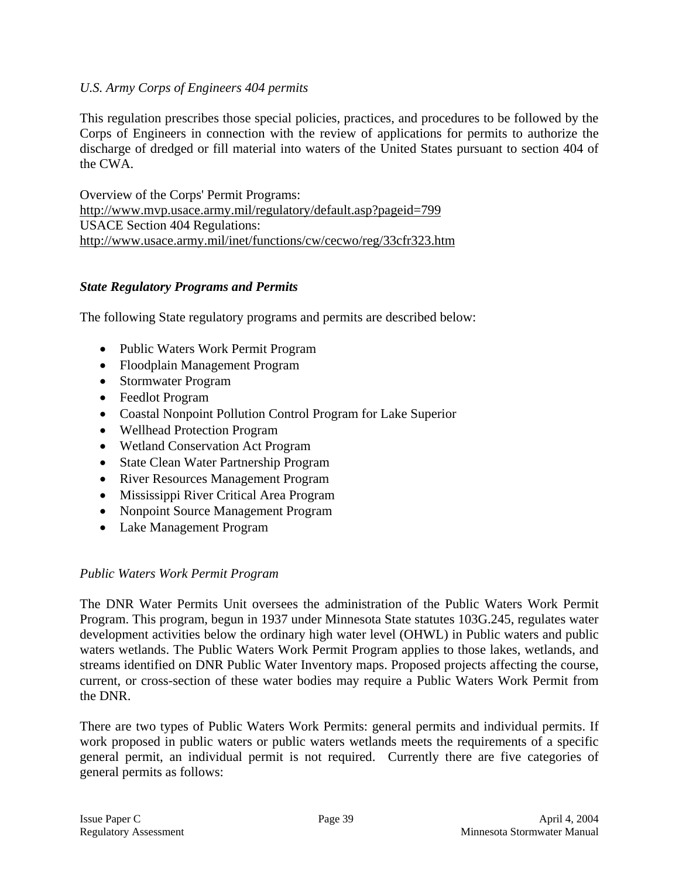### *U.S. Army Corps of Engineers 404 permits*

This regulation prescribes those special policies, practices, and procedures to be followed by the Corps of Engineers in connection with the review of applications for permits to authorize the discharge of dredged or fill material into waters of the United States pursuant to section 404 of the CWA.

Overview of the Corps' Permit Programs: http://www.mvp.usace.army.mil/regulatory/default.asp?pageid=799 USACE Section 404 Regulations: http://www.usace.army.mil/inet/functions/cw/cecwo/reg/33cfr323.htm

### *State Regulatory Programs and Permits*

The following State regulatory programs and permits are described below:

- Public Waters Work Permit Program
- Floodplain Management Program
- Stormwater Program
- Feedlot Program
- Coastal Nonpoint Pollution Control Program for Lake Superior
- Wellhead Protection Program
- Wetland Conservation Act Program
- State Clean Water Partnership Program
- River Resources Management Program
- Mississippi River Critical Area Program
- Nonpoint Source Management Program
- Lake Management Program

### *Public Waters Work Permit Program*

The DNR Water Permits Unit oversees the administration of the Public Waters Work Permit Program. This program, begun in 1937 under Minnesota State statutes 103G.245, regulates water development activities below the ordinary high water level (OHWL) in Public waters and public waters wetlands. The Public Waters Work Permit Program applies to those lakes, wetlands, and streams identified on DNR Public Water Inventory maps. Proposed projects affecting the course, current, or cross-section of these water bodies may require a Public Waters Work Permit from the DNR.

There are two types of Public Waters Work Permits: general permits and individual permits. If work proposed in public waters or public waters wetlands meets the requirements of a specific general permit, an individual permit is not required. Currently there are five categories of general permits as follows: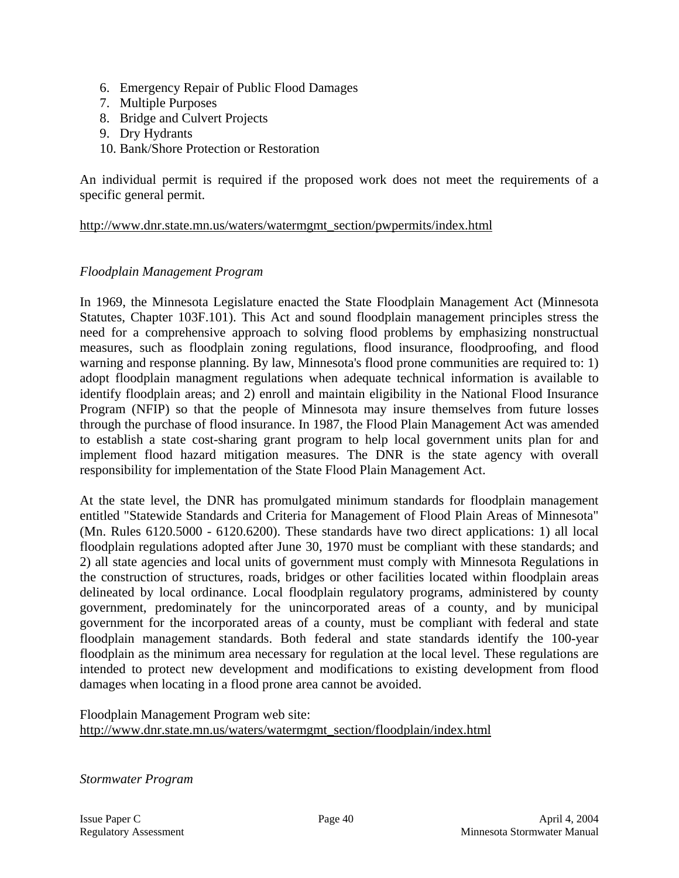- 6. Emergency Repair of Public Flood Damages
- 7. Multiple Purposes
- 8. Bridge and Culvert Projects
- 9. Dry Hydrants
- 10. Bank/Shore Protection or Restoration

An individual permit is required if the proposed work does not meet the requirements of a specific general permit.

### http://www.dnr.state.mn.us/waters/watermgmt\_section/pwpermits/index.html

### *Floodplain Management Program*

In 1969, the Minnesota Legislature enacted the State Floodplain Management Act (Minnesota Statutes, Chapter 103F.101). This Act and sound floodplain management principles stress the need for a comprehensive approach to solving flood problems by emphasizing nonstructual measures, such as floodplain zoning regulations, flood insurance, floodproofing, and flood warning and response planning. By law, Minnesota's flood prone communities are required to: 1) adopt floodplain managment regulations when adequate technical information is available to identify floodplain areas; and 2) enroll and maintain eligibility in the National Flood Insurance Program (NFIP) so that the people of Minnesota may insure themselves from future losses through the purchase of flood insurance. In 1987, the Flood Plain Management Act was amended to establish a state cost-sharing grant program to help local government units plan for and implement flood hazard mitigation measures. The DNR is the state agency with overall responsibility for implementation of the State Flood Plain Management Act.

At the state level, the DNR has promulgated minimum standards for floodplain management entitled "Statewide Standards and Criteria for Management of Flood Plain Areas of Minnesota" (Mn. Rules 6120.5000 - 6120.6200). These standards have two direct applications: 1) all local floodplain regulations adopted after June 30, 1970 must be compliant with these standards; and 2) all state agencies and local units of government must comply with Minnesota Regulations in the construction of structures, roads, bridges or other facilities located within floodplain areas delineated by local ordinance. Local floodplain regulatory programs, administered by county government, predominately for the unincorporated areas of a county, and by municipal government for the incorporated areas of a county, must be compliant with federal and state floodplain management standards. Both federal and state standards identify the 100-year floodplain as the minimum area necessary for regulation at the local level. These regulations are intended to protect new development and modifications to existing development from flood damages when locating in a flood prone area cannot be avoided.

Floodplain Management Program web site: http://www.dnr.state.mn.us/waters/watermgmt\_section/floodplain/index.html

*Stormwater Program*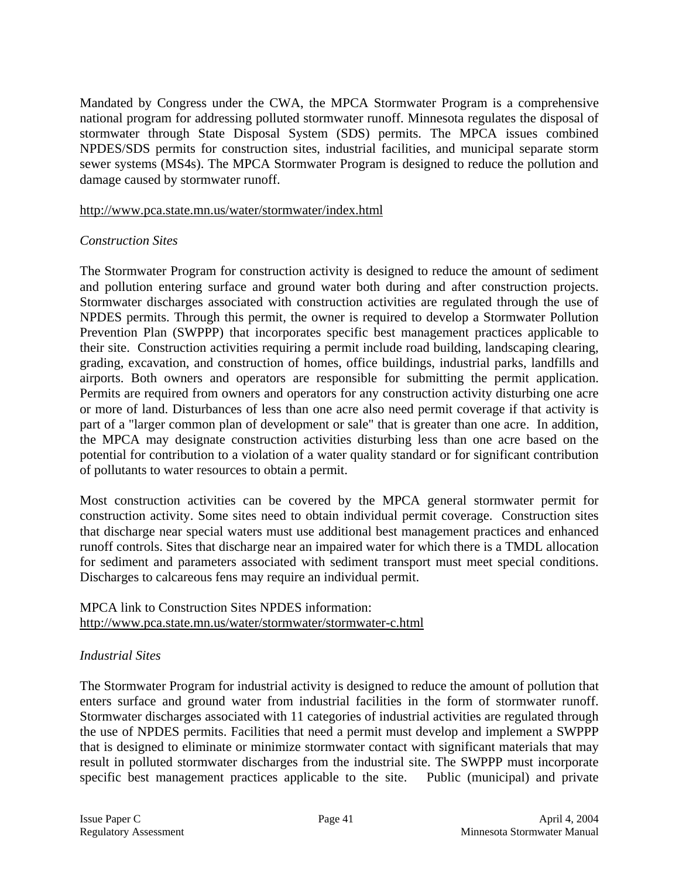Mandated by Congress under the CWA, the MPCA Stormwater Program is a comprehensive national program for addressing polluted stormwater runoff. Minnesota regulates the disposal of stormwater through State Disposal System (SDS) permits. The MPCA issues combined NPDES/SDS permits for construction sites, industrial facilities, and municipal separate storm sewer systems (MS4s). The MPCA Stormwater Program is designed to reduce the pollution and damage caused by stormwater runoff.

#### http://www.pca.state.mn.us/water/stormwater/index.html

### *Construction Sites*

The Stormwater Program for construction activity is designed to reduce the amount of sediment and pollution entering surface and ground water both during and after construction projects. Stormwater discharges associated with construction activities are regulated through the use of NPDES permits. Through this permit, the owner is required to develop a Stormwater Pollution Prevention Plan (SWPPP) that incorporates specific best management practices applicable to their site. Construction activities requiring a permit include road building, landscaping clearing, grading, excavation, and construction of homes, office buildings, industrial parks, landfills and airports. Both owners and operators are responsible for submitting the permit application. Permits are required from owners and operators for any construction activity disturbing one acre or more of land. Disturbances of less than one acre also need permit coverage if that activity is part of a "larger common plan of development or sale" that is greater than one acre. In addition, the MPCA may designate construction activities disturbing less than one acre based on the potential for contribution to a violation of a water quality standard or for significant contribution of pollutants to water resources to obtain a permit.

Most construction activities can be covered by the MPCA general stormwater permit for construction activity. Some sites need to obtain individual permit coverage. Construction sites that discharge near special waters must use additional best management practices and enhanced runoff controls. Sites that discharge near an impaired water for which there is a TMDL allocation for sediment and parameters associated with sediment transport must meet special conditions. Discharges to calcareous fens may require an individual permit.

#### MPCA link to Construction Sites NPDES information: http://www.pca.state.mn.us/water/stormwater/stormwater-c.html

### *Industrial Sites*

The Stormwater Program for industrial activity is designed to reduce the amount of pollution that enters surface and ground water from industrial facilities in the form of stormwater runoff. Stormwater discharges associated with 11 categories of industrial activities are regulated through the use of NPDES permits. Facilities that need a permit must develop and implement a SWPPP that is designed to eliminate or minimize stormwater contact with significant materials that may result in polluted stormwater discharges from the industrial site. The SWPPP must incorporate specific best management practices applicable to the site. Public (municipal) and private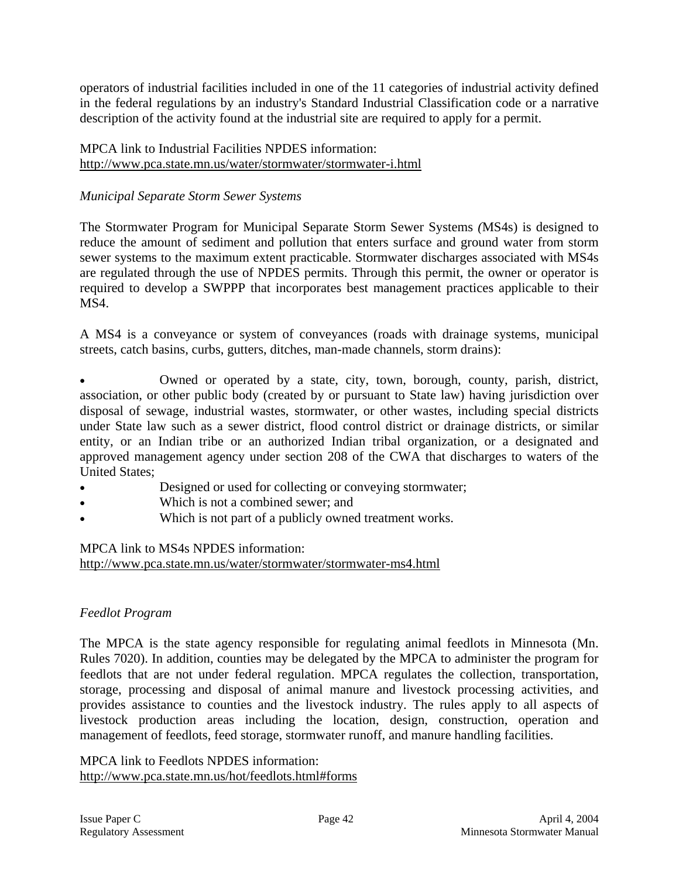operators of industrial facilities included in one of the 11 categories of industrial activity defined in the federal regulations by an industry's Standard Industrial Classification code or a narrative description of the activity found at the industrial site are required to apply for a permit.

### MPCA link to Industrial Facilities NPDES information: http://www.pca.state.mn.us/water/stormwater/stormwater-i.html

### *Municipal Separate Storm Sewer Systems*

The Stormwater Program for Municipal Separate Storm Sewer Systems *(*MS4s) is designed to reduce the amount of sediment and pollution that enters surface and ground water from storm sewer systems to the maximum extent practicable. Stormwater discharges associated with MS4s are regulated through the use of NPDES permits. Through this permit, the owner or operator is required to develop a SWPPP that incorporates best management practices applicable to their MS4.

A MS4 is a conveyance or system of conveyances (roads with drainage systems, municipal streets, catch basins, curbs, gutters, ditches, man-made channels, storm drains):

• Owned or operated by a state, city, town, borough, county, parish, district, association, or other public body (created by or pursuant to State law) having jurisdiction over disposal of sewage, industrial wastes, stormwater, or other wastes, including special districts under State law such as a sewer district, flood control district or drainage districts, or similar entity, or an Indian tribe or an authorized Indian tribal organization, or a designated and approved management agency under section 208 of the CWA that discharges to waters of the United States;

- Designed or used for collecting or conveying stormwater;
- Which is not a combined sewer; and
- Which is not part of a publicly owned treatment works.

#### MPCA link to MS4s NPDES information: http://www.pca.state.mn.us/water/stormwater/stormwater-ms4.html

### *Feedlot Program*

The MPCA is the state agency responsible for regulating animal feedlots in Minnesota (Mn. Rules 7020). In addition, counties may be delegated by the MPCA to administer the program for feedlots that are not under federal regulation. MPCA regulates the collection, transportation, storage, processing and disposal of animal manure and livestock processing activities, and provides assistance to counties and the livestock industry. The rules apply to all aspects of livestock production areas including the location, design, construction, operation and management of feedlots, feed storage, stormwater runoff, and manure handling facilities.

MPCA link to Feedlots NPDES information: http://www.pca.state.mn.us/hot/feedlots.html#forms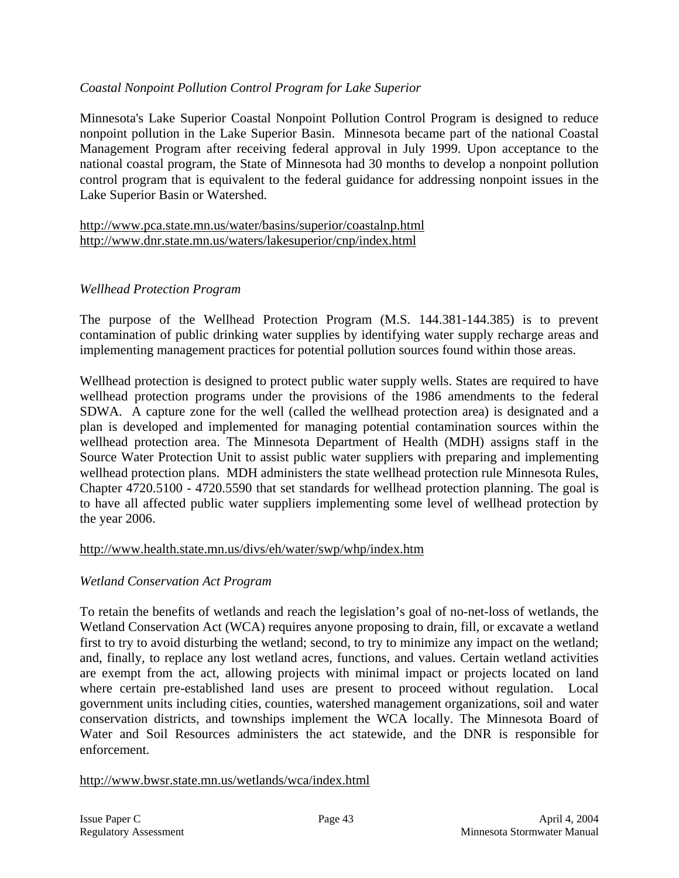### *Coastal Nonpoint Pollution Control Program for Lake Superior*

Minnesota's Lake Superior Coastal Nonpoint Pollution Control Program is designed to reduce nonpoint pollution in the Lake Superior Basin. Minnesota became part of the national Coastal Management Program after receiving federal approval in July 1999. Upon acceptance to the national coastal program, the State of Minnesota had 30 months to develop a nonpoint pollution control program that is equivalent to the federal guidance for addressing nonpoint issues in the Lake Superior Basin or Watershed.

http://www.pca.state.mn.us/water/basins/superior/coastalnp.html http://www.dnr.state.mn.us/waters/lakesuperior/cnp/index.html

### *Wellhead Protection Program*

The purpose of the Wellhead Protection Program (M.S. 144.381-144.385) is to prevent contamination of public drinking water supplies by identifying water supply recharge areas and implementing management practices for potential pollution sources found within those areas.

Wellhead protection is designed to protect public water supply wells. States are required to have wellhead protection programs under the provisions of the 1986 amendments to the federal SDWA. A capture zone for the well (called the wellhead protection area) is designated and a plan is developed and implemented for managing potential contamination sources within the wellhead protection area. The Minnesota Department of Health (MDH) assigns staff in the Source Water Protection Unit to assist public water suppliers with preparing and implementing wellhead protection plans. MDH administers the state wellhead protection rule Minnesota Rules, Chapter 4720.5100 - 4720.5590 that set standards for wellhead protection planning. The goal is to have all affected public water suppliers implementing some level of wellhead protection by the year 2006.

### http://www.health.state.mn.us/divs/eh/water/swp/whp/index.htm

### *Wetland Conservation Act Program*

To retain the benefits of wetlands and reach the legislation's goal of no-net-loss of wetlands, the Wetland Conservation Act (WCA) requires anyone proposing to drain, fill, or excavate a wetland first to try to avoid disturbing the wetland; second, to try to minimize any impact on the wetland; and, finally, to replace any lost wetland acres, functions, and values. Certain wetland activities are exempt from the act, allowing projects with minimal impact or projects located on land where certain pre-established land uses are present to proceed without regulation. Local government units including cities, counties, watershed management organizations, soil and water conservation districts, and townships implement the WCA locally. The Minnesota Board of Water and Soil Resources administers the act statewide, and the DNR is responsible for enforcement.

#### http://www.bwsr.state.mn.us/wetlands/wca/index.html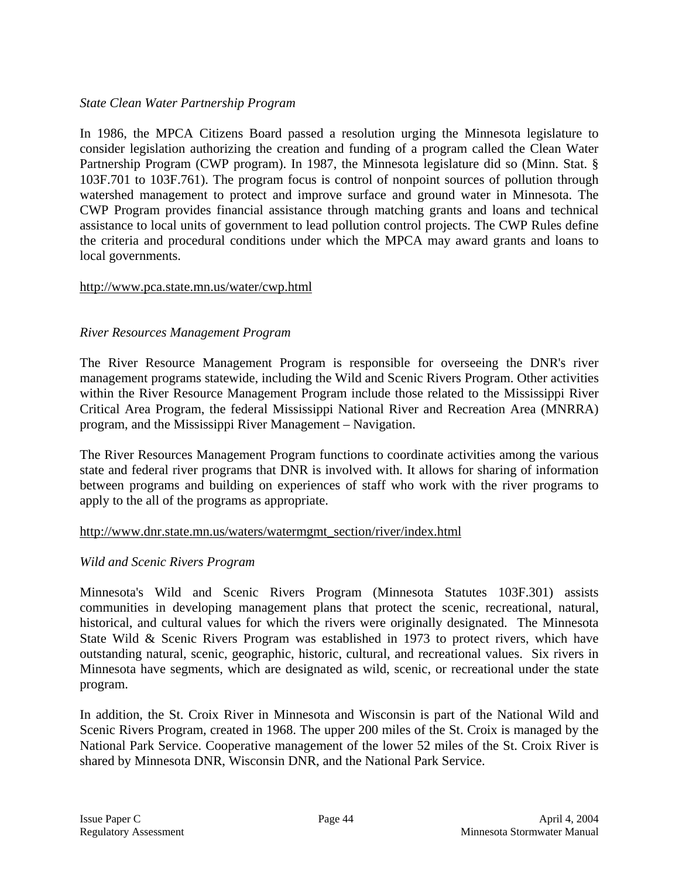### *State Clean Water Partnership Program*

In 1986, the MPCA Citizens Board passed a resolution urging the Minnesota legislature to consider legislation authorizing the creation and funding of a program called the Clean Water Partnership Program (CWP program). In 1987, the Minnesota legislature did so (Minn. Stat. § 103F.701 to 103F.761). The program focus is control of nonpoint sources of pollution through watershed management to protect and improve surface and ground water in Minnesota. The CWP Program provides financial assistance through matching grants and loans and technical assistance to local units of government to lead pollution control projects. The CWP Rules define the criteria and procedural conditions under which the MPCA may award grants and loans to local governments.

### http://www.pca.state.mn.us/water/cwp.html

### *River Resources Management Program*

The River Resource Management Program is responsible for overseeing the DNR's river management programs statewide, including the Wild and Scenic Rivers Program. Other activities within the River Resource Management Program include those related to the Mississippi River Critical Area Program, the federal Mississippi National River and Recreation Area (MNRRA) program, and the Mississippi River Management – Navigation.

The River Resources Management Program functions to coordinate activities among the various state and federal river programs that DNR is involved with. It allows for sharing of information between programs and building on experiences of staff who work with the river programs to apply to the all of the programs as appropriate.

#### http://www.dnr.state.mn.us/waters/watermgmt\_section/river/index.html

### *Wild and Scenic Rivers Program*

Minnesota's Wild and Scenic Rivers Program (Minnesota Statutes 103F.301) assists communities in developing management plans that protect the scenic, recreational, natural, historical, and cultural values for which the rivers were originally designated. The Minnesota State Wild & Scenic Rivers Program was established in 1973 to protect rivers, which have outstanding natural, scenic, geographic, historic, cultural, and recreational values. Six rivers in Minnesota have segments, which are designated as wild, scenic, or recreational under the state program.

In addition, the St. Croix River in Minnesota and Wisconsin is part of the National Wild and Scenic Rivers Program, created in 1968. The upper 200 miles of the St. Croix is managed by the National Park Service. Cooperative management of the lower 52 miles of the St. Croix River is shared by Minnesota DNR, Wisconsin DNR, and the National Park Service.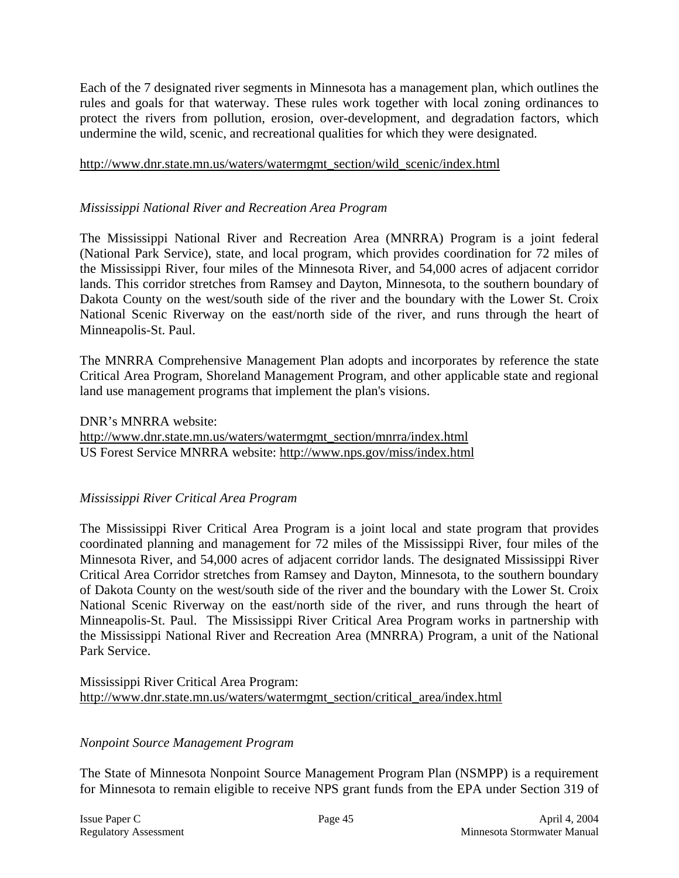Each of the 7 designated river segments in Minnesota has a management plan, which outlines the rules and goals for that waterway. These rules work together with local zoning ordinances to protect the rivers from pollution, erosion, over-development, and degradation factors, which undermine the wild, scenic, and recreational qualities for which they were designated.

#### http://www.dnr.state.mn.us/waters/watermgmt\_section/wild\_scenic/index.html

### *Mississippi National River and Recreation Area Program*

The Mississippi National River and Recreation Area (MNRRA) Program is a joint federal (National Park Service), state, and local program, which provides coordination for 72 miles of the Mississippi River, four miles of the Minnesota River, and 54,000 acres of adjacent corridor lands. This corridor stretches from Ramsey and Dayton, Minnesota, to the southern boundary of Dakota County on the west/south side of the river and the boundary with the Lower St. Croix National Scenic Riverway on the east/north side of the river, and runs through the heart of Minneapolis-St. Paul.

The MNRRA Comprehensive Management Plan adopts and incorporates by reference the state Critical Area Program, Shoreland Management Program, and other applicable state and regional land use management programs that implement the plan's visions.

DNR's MNRRA website:

http://www.dnr.state.mn.us/waters/watermgmt\_section/mnrra/index.html US Forest Service MNRRA website: http://www.nps.gov/miss/index.html

### *Mississippi River Critical Area Program*

The Mississippi River Critical Area Program is a joint local and state program that provides coordinated planning and management for 72 miles of the Mississippi River, four miles of the Minnesota River, and 54,000 acres of adjacent corridor lands. The designated Mississippi River Critical Area Corridor stretches from Ramsey and Dayton, Minnesota, to the southern boundary of Dakota County on the west/south side of the river and the boundary with the Lower St. Croix National Scenic Riverway on the east/north side of the river, and runs through the heart of Minneapolis-St. Paul. The Mississippi River Critical Area Program works in partnership with the Mississippi National River and Recreation Area (MNRRA) Program, a unit of the National Park Service.

Mississippi River Critical Area Program: http://www.dnr.state.mn.us/waters/watermgmt\_section/critical\_area/index.html

### *Nonpoint Source Management Program*

The State of Minnesota Nonpoint Source Management Program Plan (NSMPP) is a requirement for Minnesota to remain eligible to receive NPS grant funds from the EPA under Section 319 of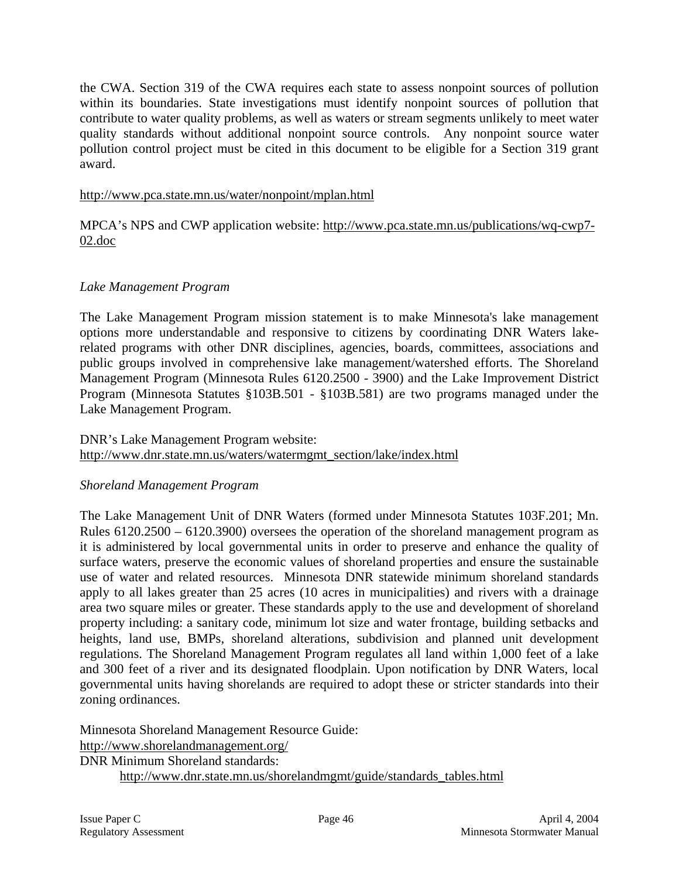the CWA. Section 319 of the CWA requires each state to assess nonpoint sources of pollution within its boundaries. State investigations must identify nonpoint sources of pollution that contribute to water quality problems, as well as waters or stream segments unlikely to meet water quality standards without additional nonpoint source controls. Any nonpoint source water pollution control project must be cited in this document to be eligible for a Section 319 grant award.

### http://www.pca.state.mn.us/water/nonpoint/mplan.html

MPCA's NPS and CWP application website: http://www.pca.state.mn.us/publications/wq-cwp7- 02.doc

### *Lake Management Program*

The Lake Management Program mission statement is to make Minnesota's lake management options more understandable and responsive to citizens by coordinating DNR Waters lakerelated programs with other DNR disciplines, agencies, boards, committees, associations and public groups involved in comprehensive lake management/watershed efforts. The Shoreland Management Program (Minnesota Rules 6120.2500 - 3900) and the Lake Improvement District Program (Minnesota Statutes §103B.501 - §103B.581) are two programs managed under the Lake Management Program.

### DNR's Lake Management Program website: http://www.dnr.state.mn.us/waters/watermgmt\_section/lake/index.html

### *Shoreland Management Program*

The Lake Management Unit of DNR Waters (formed under Minnesota Statutes 103F.201; Mn. Rules 6120.2500 – 6120.3900) oversees the operation of the shoreland management program as it is administered by local governmental units in order to preserve and enhance the quality of surface waters, preserve the economic values of shoreland properties and ensure the sustainable use of water and related resources. Minnesota DNR statewide minimum shoreland standards apply to all lakes greater than 25 acres (10 acres in municipalities) and rivers with a drainage area two square miles or greater. These standards apply to the use and development of shoreland property including: a sanitary code, minimum lot size and water frontage, building setbacks and heights, land use, BMPs, shoreland alterations, subdivision and planned unit development regulations. The Shoreland Management Program regulates all land within 1,000 feet of a lake and 300 feet of a river and its designated floodplain. Upon notification by DNR Waters, local governmental units having shorelands are required to adopt these or stricter standards into their zoning ordinances.

Minnesota Shoreland Management Resource Guide: http://www.shorelandmanagement.org/ DNR Minimum Shoreland standards: http://www.dnr.state.mn.us/shorelandmgmt/guide/standards\_tables.html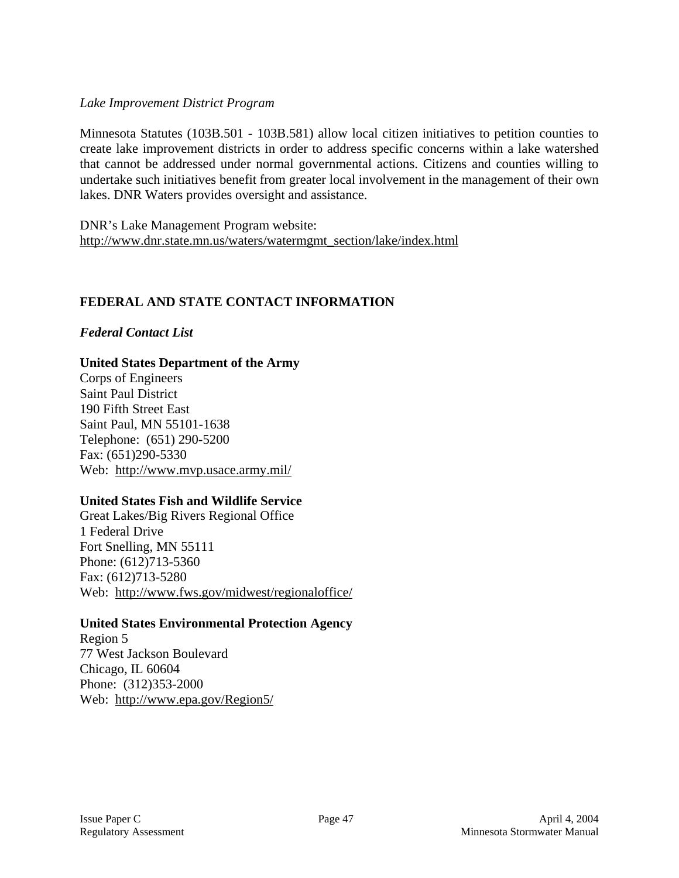### *Lake Improvement District Program*

Minnesota Statutes (103B.501 - 103B.581) allow local citizen initiatives to petition counties to create lake improvement districts in order to address specific concerns within a lake watershed that cannot be addressed under normal governmental actions. Citizens and counties willing to undertake such initiatives benefit from greater local involvement in the management of their own lakes. DNR Waters provides oversight and assistance.

DNR's Lake Management Program website: http://www.dnr.state.mn.us/waters/watermgmt\_section/lake/index.html

### **FEDERAL AND STATE CONTACT INFORMATION**

### *Federal Contact List*

### **United States Department of the Army**

Corps of Engineers Saint Paul District 190 Fifth Street East Saint Paul, MN 55101-1638 Telephone: (651) 290-5200 Fax: (651)290-5330 Web: http://www.mvp.usace.army.mil/

#### **United States Fish and Wildlife Service**

Great Lakes/Big Rivers Regional Office 1 Federal Drive Fort Snelling, MN 55111 Phone: (612)713-5360 Fax: (612)713-5280 Web: http://www.fws.gov/midwest/regionaloffice/

#### **United States Environmental Protection Agency**

Region 5 77 West Jackson Boulevard Chicago, IL 60604 Phone: (312)353-2000 Web: http://www.epa.gov/Region5/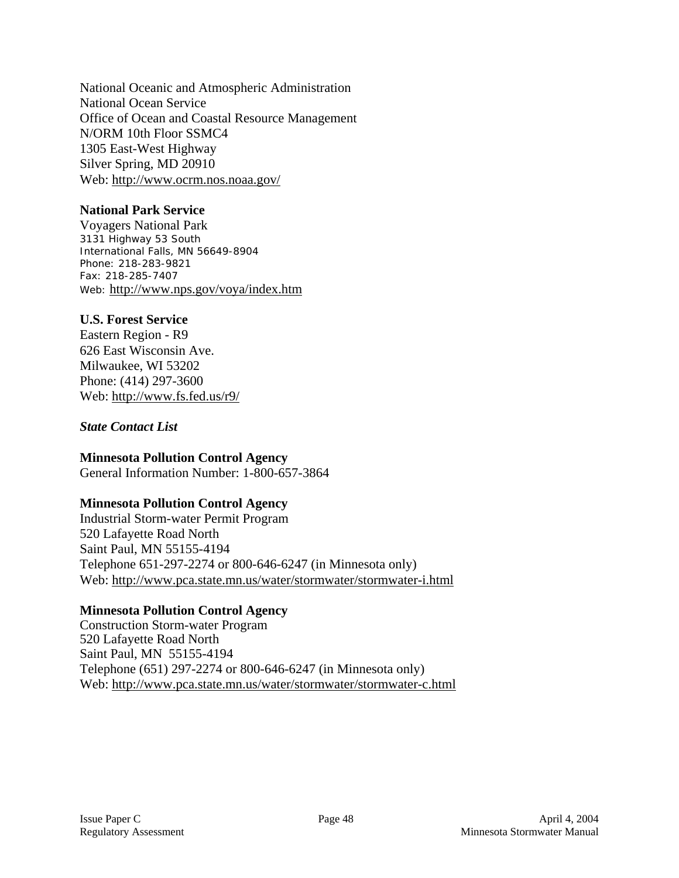National Oceanic and Atmospheric Administration National Ocean Service Office of Ocean and Coastal Resource Management N/ORM 10th Floor SSMC4 1305 East-West Highway Silver Spring, MD 20910 Web: http://www.ocrm.nos.noaa.gov/

### **National Park Service**

Voyagers National Park 3131 Highway 53 South International Falls, MN 56649-8904 Phone: 218-283-9821 Fax: 218-285-7407 Web: http://www.nps.gov/voya/index.htm

### **U.S. Forest Service**

Eastern Region - R9 626 East Wisconsin Ave. Milwaukee, WI 53202 Phone: (414) 297-3600 Web: http://www.fs.fed.us/r9/

#### *State Contact List*

#### **Minnesota Pollution Control Agency**

General Information Number: 1-800-657-3864

### **Minnesota Pollution Control Agency**

Industrial Storm-water Permit Program 520 Lafayette Road North Saint Paul, MN 55155-4194 Telephone 651-297-2274 or 800-646-6247 (in Minnesota only) Web: http://www.pca.state.mn.us/water/stormwater/stormwater-i.html

### **Minnesota Pollution Control Agency**

Construction Storm-water Program 520 Lafayette Road North Saint Paul, MN 55155-4194 Telephone (651) 297-2274 or 800-646-6247 (in Minnesota only) Web: http://www.pca.state.mn.us/water/stormwater/stormwater-c.html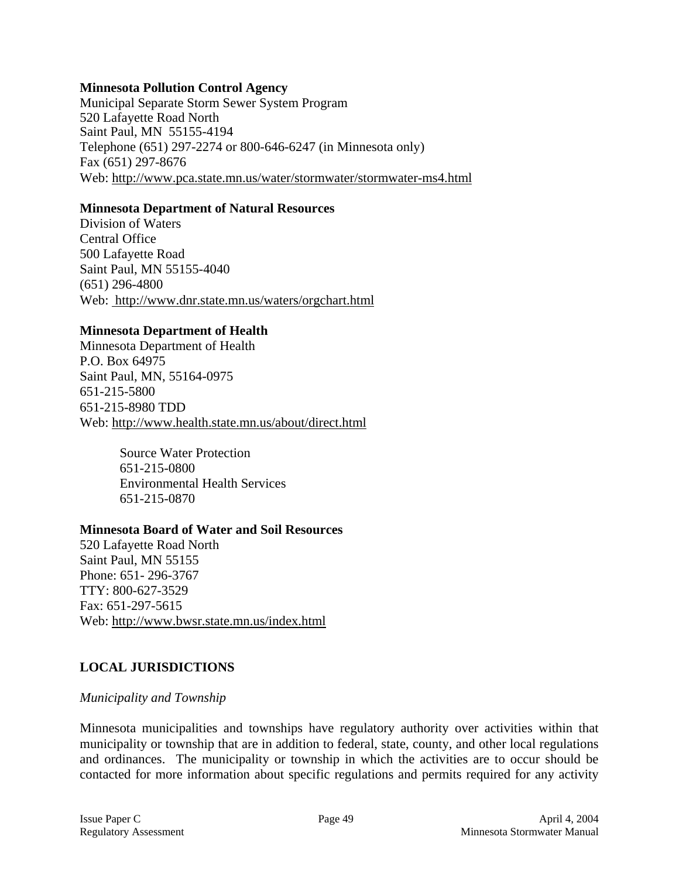#### **Minnesota Pollution Control Agency**

Municipal Separate Storm Sewer System Program 520 Lafayette Road North Saint Paul, MN 55155-4194 Telephone (651) 297-2274 or 800-646-6247 (in Minnesota only) Fax (651) 297-8676 Web: http://www.pca.state.mn.us/water/stormwater/stormwater-ms4.html

#### **Minnesota Department of Natural Resources**

Division of Waters Central Office 500 Lafayette Road Saint Paul, MN 55155-4040 (651) 296-4800 Web: http://www.dnr.state.mn.us/waters/orgchart.html

#### **Minnesota Department of Health**

Minnesota Department of Health P.O. Box 64975 Saint Paul, MN, 55164-0975 651-215-5800 651-215-8980 TDD Web: http://www.health.state.mn.us/about/direct.html

> Source Water Protection 651-215-0800 Environmental Health Services 651-215-0870

#### **Minnesota Board of Water and Soil Resources**

520 Lafayette Road North Saint Paul, MN 55155 Phone: 651- 296-3767 TTY: 800-627-3529 Fax: 651-297-5615 Web: http://www.bwsr.state.mn.us/index.html

### **LOCAL JURISDICTIONS**

#### *Municipality and Township*

Minnesota municipalities and townships have regulatory authority over activities within that municipality or township that are in addition to federal, state, county, and other local regulations and ordinances. The municipality or township in which the activities are to occur should be contacted for more information about specific regulations and permits required for any activity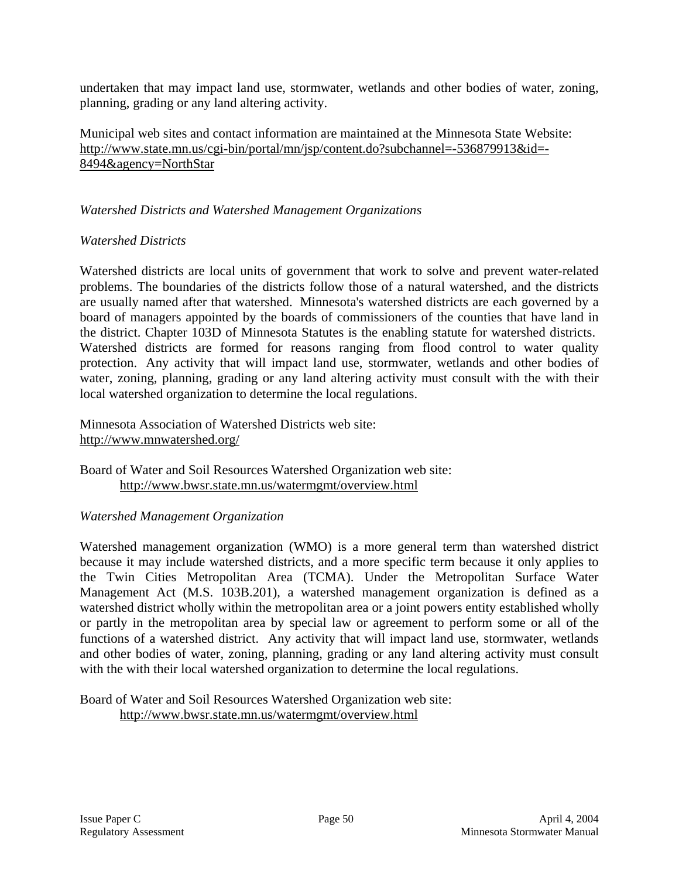undertaken that may impact land use, stormwater, wetlands and other bodies of water, zoning, planning, grading or any land altering activity.

Municipal web sites and contact information are maintained at the Minnesota State Website: http://www.state.mn.us/cgi-bin/portal/mn/jsp/content.do?subchannel=-536879913&id=- 8494&agency=NorthStar

### *Watershed Districts and Watershed Management Organizations*

### *Watershed Districts*

Watershed districts are local units of government that work to solve and prevent water-related problems. The boundaries of the districts follow those of a natural watershed, and the districts are usually named after that watershed. Minnesota's watershed districts are each governed by a board of managers appointed by the boards of commissioners of the counties that have land in the district. Chapter 103D of Minnesota Statutes is the enabling statute for watershed districts. Watershed districts are formed for reasons ranging from flood control to water quality protection. Any activity that will impact land use, stormwater, wetlands and other bodies of water, zoning, planning, grading or any land altering activity must consult with the with their local watershed organization to determine the local regulations.

Minnesota Association of Watershed Districts web site: http://www.mnwatershed.org/

Board of Water and Soil Resources Watershed Organization web site: http://www.bwsr.state.mn.us/watermgmt/overview.html

#### *Watershed Management Organization*

Watershed management organization (WMO) is a more general term than watershed district because it may include watershed districts, and a more specific term because it only applies to the Twin Cities Metropolitan Area (TCMA). Under the Metropolitan Surface Water Management Act (M.S. 103B.201), a watershed management organization is defined as a watershed district wholly within the metropolitan area or a joint powers entity established wholly or partly in the metropolitan area by special law or agreement to perform some or all of the functions of a watershed district. Any activity that will impact land use, stormwater, wetlands and other bodies of water, zoning, planning, grading or any land altering activity must consult with the with their local watershed organization to determine the local regulations.

Board of Water and Soil Resources Watershed Organization web site: http://www.bwsr.state.mn.us/watermgmt/overview.html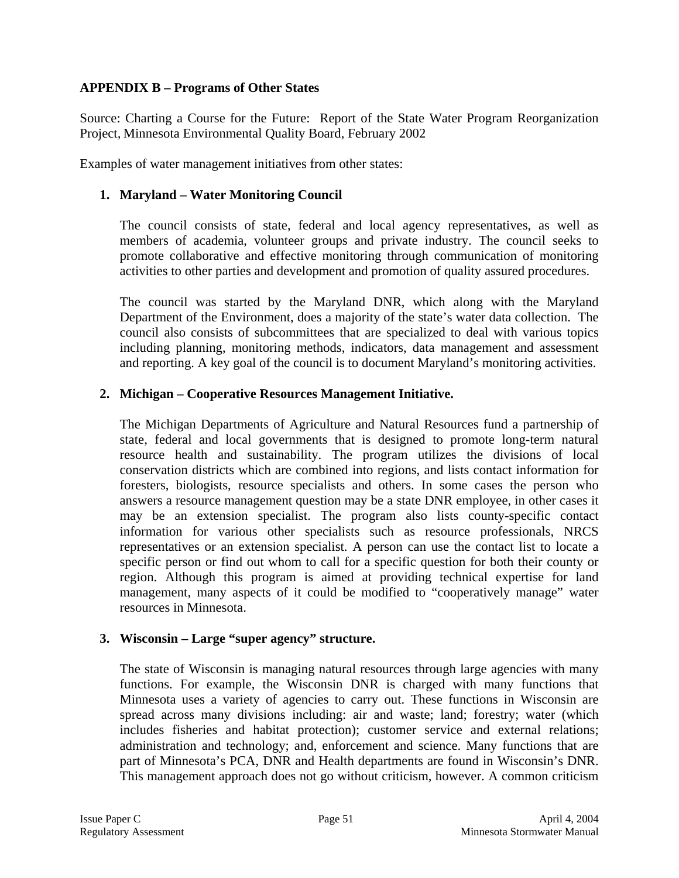### **APPENDIX B – Programs of Other States**

Source: Charting a Course for the Future: Report of the State Water Program Reorganization Project*,* Minnesota Environmental Quality Board, February 2002

Examples of water management initiatives from other states:

### **1. Maryland – Water Monitoring Council**

The council consists of state, federal and local agency representatives, as well as members of academia, volunteer groups and private industry. The council seeks to promote collaborative and effective monitoring through communication of monitoring activities to other parties and development and promotion of quality assured procedures.

The council was started by the Maryland DNR, which along with the Maryland Department of the Environment, does a majority of the state's water data collection. The council also consists of subcommittees that are specialized to deal with various topics including planning, monitoring methods, indicators, data management and assessment and reporting. A key goal of the council is to document Maryland's monitoring activities.

### **2. Michigan – Cooperative Resources Management Initiative.**

The Michigan Departments of Agriculture and Natural Resources fund a partnership of state, federal and local governments that is designed to promote long-term natural resource health and sustainability. The program utilizes the divisions of local conservation districts which are combined into regions, and lists contact information for foresters, biologists, resource specialists and others. In some cases the person who answers a resource management question may be a state DNR employee, in other cases it may be an extension specialist. The program also lists county-specific contact information for various other specialists such as resource professionals, NRCS representatives or an extension specialist. A person can use the contact list to locate a specific person or find out whom to call for a specific question for both their county or region. Although this program is aimed at providing technical expertise for land management, many aspects of it could be modified to "cooperatively manage" water resources in Minnesota.

### **3. Wisconsin – Large "super agency" structure.**

The state of Wisconsin is managing natural resources through large agencies with many functions. For example, the Wisconsin DNR is charged with many functions that Minnesota uses a variety of agencies to carry out. These functions in Wisconsin are spread across many divisions including: air and waste; land; forestry; water (which includes fisheries and habitat protection); customer service and external relations; administration and technology; and, enforcement and science. Many functions that are part of Minnesota's PCA, DNR and Health departments are found in Wisconsin's DNR. This management approach does not go without criticism, however. A common criticism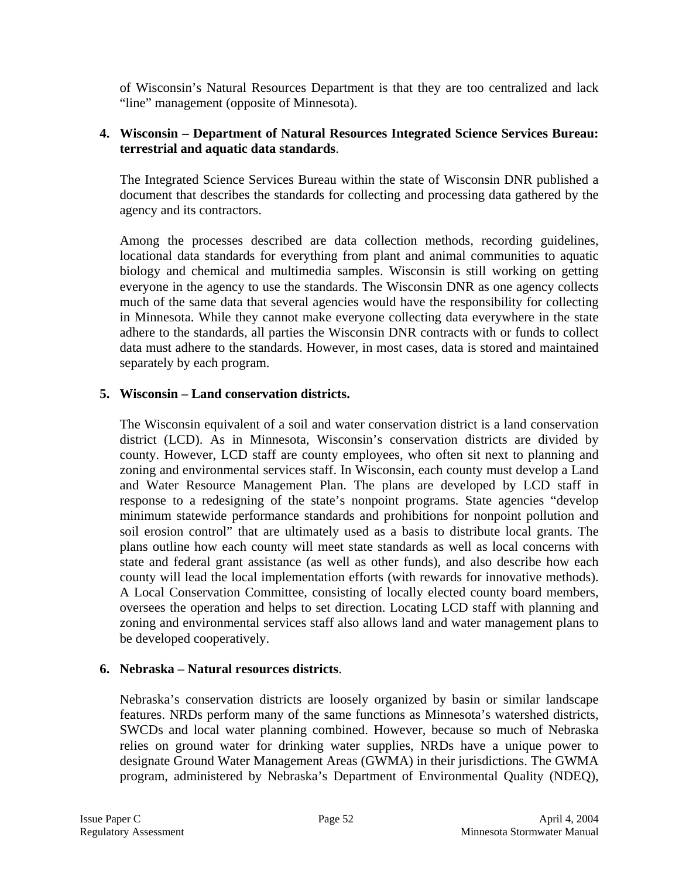of Wisconsin's Natural Resources Department is that they are too centralized and lack "line" management (opposite of Minnesota).

### **4. Wisconsin – Department of Natural Resources Integrated Science Services Bureau: terrestrial and aquatic data standards**.

The Integrated Science Services Bureau within the state of Wisconsin DNR published a document that describes the standards for collecting and processing data gathered by the agency and its contractors.

Among the processes described are data collection methods, recording guidelines, locational data standards for everything from plant and animal communities to aquatic biology and chemical and multimedia samples. Wisconsin is still working on getting everyone in the agency to use the standards. The Wisconsin DNR as one agency collects much of the same data that several agencies would have the responsibility for collecting in Minnesota. While they cannot make everyone collecting data everywhere in the state adhere to the standards, all parties the Wisconsin DNR contracts with or funds to collect data must adhere to the standards. However, in most cases, data is stored and maintained separately by each program.

### **5. Wisconsin – Land conservation districts.**

The Wisconsin equivalent of a soil and water conservation district is a land conservation district (LCD). As in Minnesota, Wisconsin's conservation districts are divided by county. However, LCD staff are county employees, who often sit next to planning and zoning and environmental services staff. In Wisconsin, each county must develop a Land and Water Resource Management Plan. The plans are developed by LCD staff in response to a redesigning of the state's nonpoint programs. State agencies "develop minimum statewide performance standards and prohibitions for nonpoint pollution and soil erosion control" that are ultimately used as a basis to distribute local grants. The plans outline how each county will meet state standards as well as local concerns with state and federal grant assistance (as well as other funds), and also describe how each county will lead the local implementation efforts (with rewards for innovative methods). A Local Conservation Committee, consisting of locally elected county board members, oversees the operation and helps to set direction. Locating LCD staff with planning and zoning and environmental services staff also allows land and water management plans to be developed cooperatively.

#### **6. Nebraska – Natural resources districts**.

Nebraska's conservation districts are loosely organized by basin or similar landscape features. NRDs perform many of the same functions as Minnesota's watershed districts, SWCDs and local water planning combined. However, because so much of Nebraska relies on ground water for drinking water supplies, NRDs have a unique power to designate Ground Water Management Areas (GWMA) in their jurisdictions. The GWMA program, administered by Nebraska's Department of Environmental Quality (NDEQ),